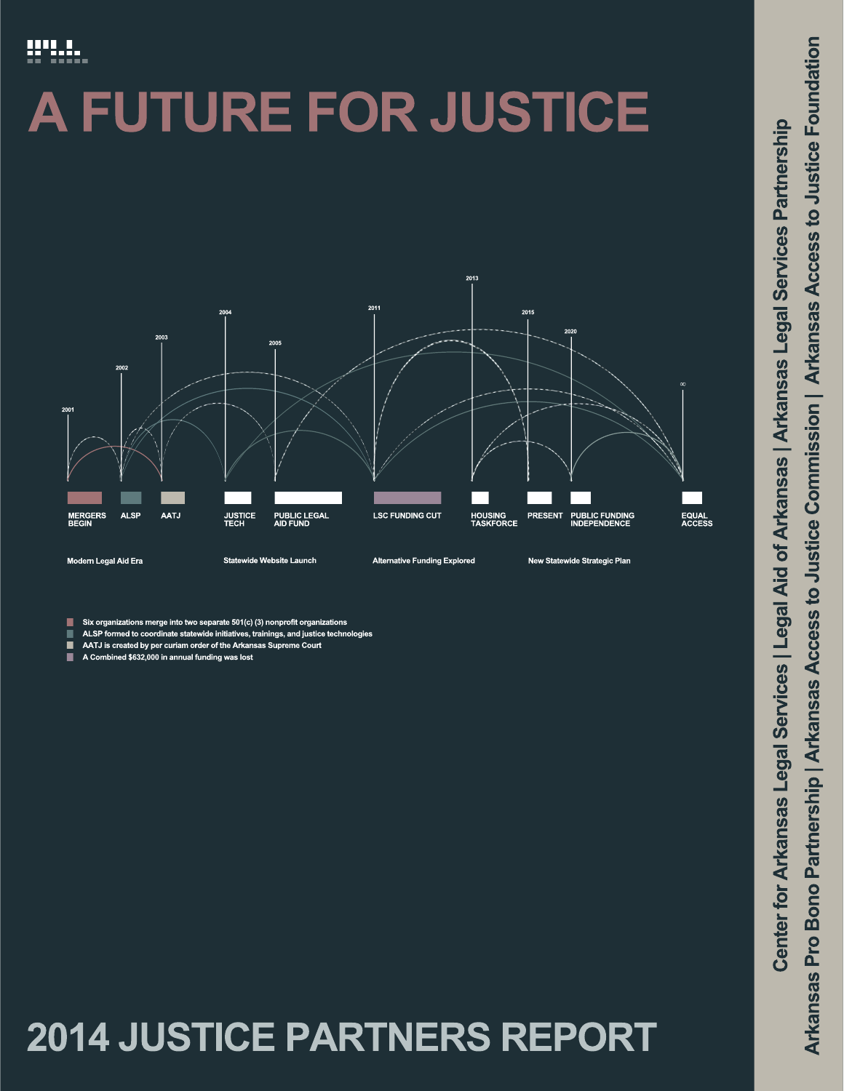# **MILL**

# **FUTURE FOR JUSTICE** A.



tions merge into two separate 501(c) (3) nonprofit organizations

- ALSP formed to coordinate statewide initiatives, trainings, and justice technologies
- п AATJ is created by per curiam order of the Arkansas Supreme Court
- ٠ A Combined \$632,000 in annual funding was lost

# 2014 JUSTICE PARTNERS REPORT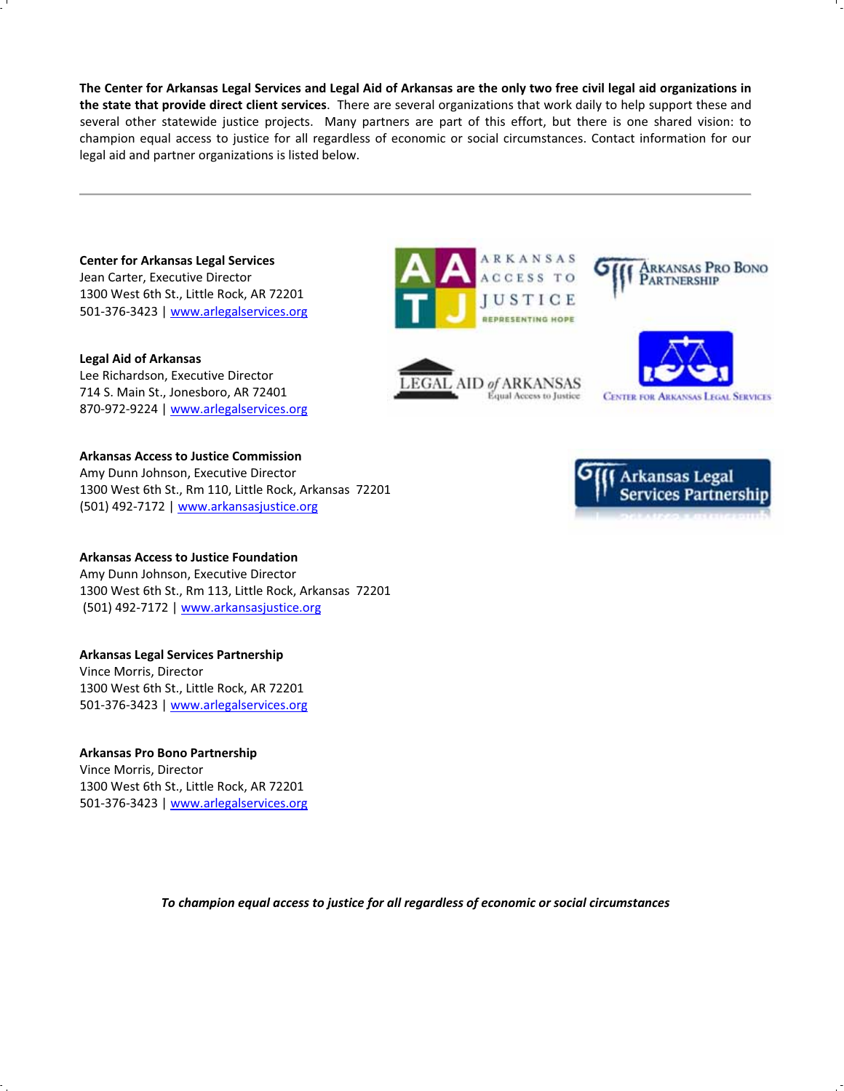The Center for Arkansas Legal Services and Legal Aid of Arkansas are the only two free civil legal aid organizations in **the state that provide direct client services**.There are several organizations that work daily to help support these and several other statewide justice projects. Many partners are part of this effort, but there is one shared vision: to champion equal access to justice for all regardless of economic or social circumstances. Contact information for our legal aid and partner organizations is listed below.

**Center for Arkansas Legal Services** Jean Carter, Executive Director 1300 West 6th St., Little Rock, AR 72201 501-376-3423 | www.arlegalservices.org

**Legal Aid of Arkansas** Lee Richardson, Executive Director 714 S. Main St., Jonesboro, AR 72401 870-972-9224 | www.arlegalservices.org

#### **Arkansas Access to Justice Commission**

Amy Dunn Johnson, Executive Director 1300 West 6th St., Rm 110, Little Rock, Arkansas 72201 (501) 492-7172 | www.arkansasjustice.org

#### **Arkansas Access to Justice Foundation**

Amy Dunn Johnson, Executive Director 1300 West 6th St., Rm 113, Little Rock, Arkansas 72201 (501) 492-7172 | www.arkansasjustice.org

#### **Arkansas Legal Services Partnership**

Vince Morris, Director 1300 West 6th St., Little Rock, AR 72201 501-376-3423 | www.arlegalservices.org

#### **Arkansas Pro Bono Partnership**

Vince Morris, Director 1300 West 6th St., Little Rock, AR 72201 501-376-3423 | www.arlegalservices.org **ARKANSAS CCESS TO JUSTICE** REPRESENTING HOPE

LEGAL AID of ARKANSAS

Equal Access to Justice



**CENTER FOR ARKANSAS LEGAL SERVICES** 



*To champion equal access to justice for all regardless of economic or social circumstances*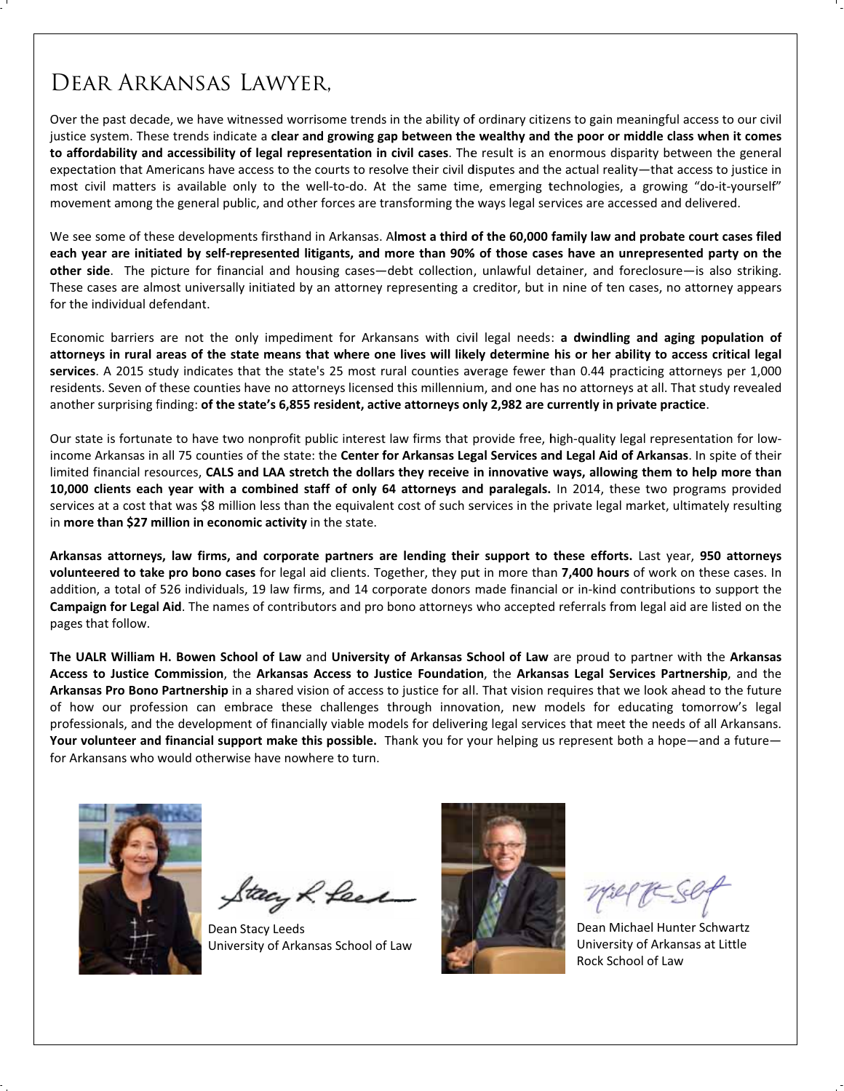# DEAR ARKANSAS LAWYER.

Over the past decade, we have witnessed worrisome trends in the ability of ordinary citizens to gain meaningful access to our civil justice system. These trends indicate a clear and growing gap between the wealthy and the poor or middle class when it comes to affordability and accessibility of legal representation in civil cases. The result is an enormous disparity between the general expectation that Americans have access to the courts to resolve their civil disputes and the actual reality—that access to justice in most civil matters is available only to the well-to-do. At the same time, emerging technologies, a growing "do-it-yourself" movement among the general public, and other forces are transforming the ways legal services are accessed and delivered.

We see some of these developments firsthand in Arkansas. Almost a third of the 60,000 family law and probate court cases filed each year are initiated by self-represented litigants, and more than 90% of those cases have an unrepresented party on the other side. The picture for financial and housing cases-debt collection, unlawful detainer, and foreclosure-is also striking. These cases are almost universally initiated by an attorney representing a creditor, but in nine of ten cases, no attorney appears for the individual defendant.

Economic barriers are not the only impediment for Arkansans with civil legal needs: a dwindling and aging population of attorneys in rural areas of the state means that where one lives will likely determine his or her ability to access critical legal services. A 2015 study indicates that the state's 25 most rural counties average fewer than 0.44 practicing attorneys per 1,000 residents. Seven of these counties have no attorneys licensed this millennium, and one has no attorneys at all. That study revealed another surprising finding: of the state's 6,855 resident, active attorneys only 2,982 are currently in private practice.

Our state is fortunate to have two nonprofit public interest law firms that provide free, high-quality legal representation for lowincome Arkansas in all 75 counties of the state: the Center for Arkansas Legal Services and Legal Aid of Arkansas. In spite of their limited financial resources, CALS and LAA stretch the dollars they receive in innovative ways, allowing them to help more than 10,000 clients each year with a combined staff of only 64 attorneys and paralegals. In 2014, these two programs provided services at a cost that was \$8 million less than the equivalent cost of such services in the private legal market, ultimately resulting in more than \$27 million in economic activity in the state.

Arkansas attorneys, law firms, and corporate partners are lending their support to these efforts. Last year, 950 attorneys volunteered to take pro bono cases for legal aid clients. Together, they put in more than 7,400 hours of work on these cases. In addition, a total of 526 individuals, 19 law firms, and 14 corporate donors made financial or in-kind contributions to support the Campaign for Legal Aid. The names of contributors and pro bono attorneys who accepted referrals from legal aid are listed on the pages that follow.

The UALR William H. Bowen School of Law and University of Arkansas School of Law are proud to partner with the Arkansas Access to Justice Commission, the Arkansas Access to Justice Foundation, the Arkansas Legal Services Partnership, and the Arkansas Pro Bono Partnership in a shared vision of access to justice for all. That vision requires that we look ahead to the future of how our profession can embrace these challenges through innovation, new models for educating tomorrow's legal professionals, and the development of financially viable models for delivering legal services that meet the needs of all Arkansans. Your volunteer and financial support make this possible. Thank you for your helping us represent both a hope—and a future for Arkansans who would otherwise have nowhere to turn.



tacy & fee

Dean Stacy Leeds University of Arkansas School of Law



Dean Michael Hunter Schwartz University of Arkansas at Little Rock School of Law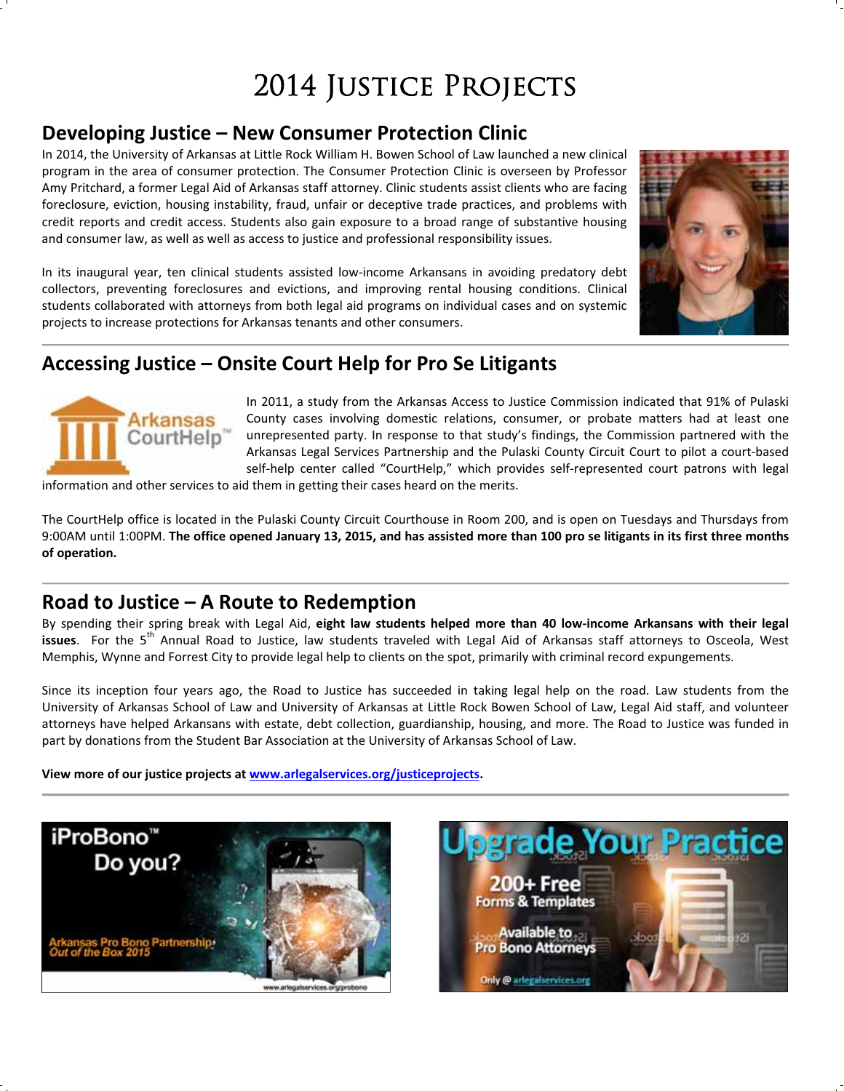# 2014 JUSTICE PROJECTS

# **Developing Justice – New Consumer Protection Clinic**

In 2014, the University of Arkansas at Little Rock William H. Bowen School of Law launched a new clinical program in the area of consumer protection. The Consumer Protection Clinic is overseen by Professor Amy Pritchard, a former Legal Aid of Arkansas staff attorney. Clinic students assist clients who are facing foreclosure, eviction, housing instability, fraud, unfair or deceptive trade practices, and problems with credit reports and credit access. Students also gain exposure to a broad range of substantive housing and consumer law, as well as well as access to justice and professional responsibility issues.

In its inaugural year, ten clinical students assisted low-income Arkansans in avoiding predatory debt collectors, preventing foreclosures and evictions, and improving rental housing conditions. Clinical students collaborated with attorneys from both legal aid programs on individual cases and on systemic projects to increase protections for Arkansas tenants and other consumers.



# **Accessing Justice – Onsite Court Help for Pro Se Litigants**



In 2011, a study from the Arkansas Access to Justice Commission indicated that 91% of Pulaski County cases involving domestic relations, consumer, or probate matters had at least one unrepresented party. In response to that study's findings, the Commission partnered with the Arkansas Legal Services Partnership and the Pulaski County Circuit Court to pilot a court-based self-help center called "CourtHelp," which provides self-represented court patrons with legal

information and other services to aid them in getting their cases heard on the merits.

The CourtHelp office is located in the Pulaski County Circuit Courthouse in Room 200, and is open on Tuesdays and Thursdays from 9:00AM until 1:00PM. The office opened January 13, 2015, and has assisted more than 100 pro se litigants in its first three months **of operation.**

## **Road to Justice – A Route to Redemption**

By spending their spring break with Legal Aid, **eight law students helped more than 40 lowͲincome Arkansans with their legal issues**. For the 5th Annual Road to Justice, law students traveled with Legal Aid of Arkansas staff attorneys to Osceola, West Memphis, Wynne and Forrest City to provide legal help to clients on the spot, primarily with criminal record expungements.

Since its inception four years ago, the Road to Justice has succeeded in taking legal help on the road. Law students from the University of Arkansas School of Law and University of Arkansas at Little Rock Bowen School of Law, Legal Aid staff, and volunteer attorneys have helped Arkansans with estate, debt collection, guardianship, housing, and more. The Road to Justice was funded in part by donations from the Student Bar Association at the University of Arkansas School of Law.

**View more of our justice projects at www.arlegalservices.org/justiceprojects.**



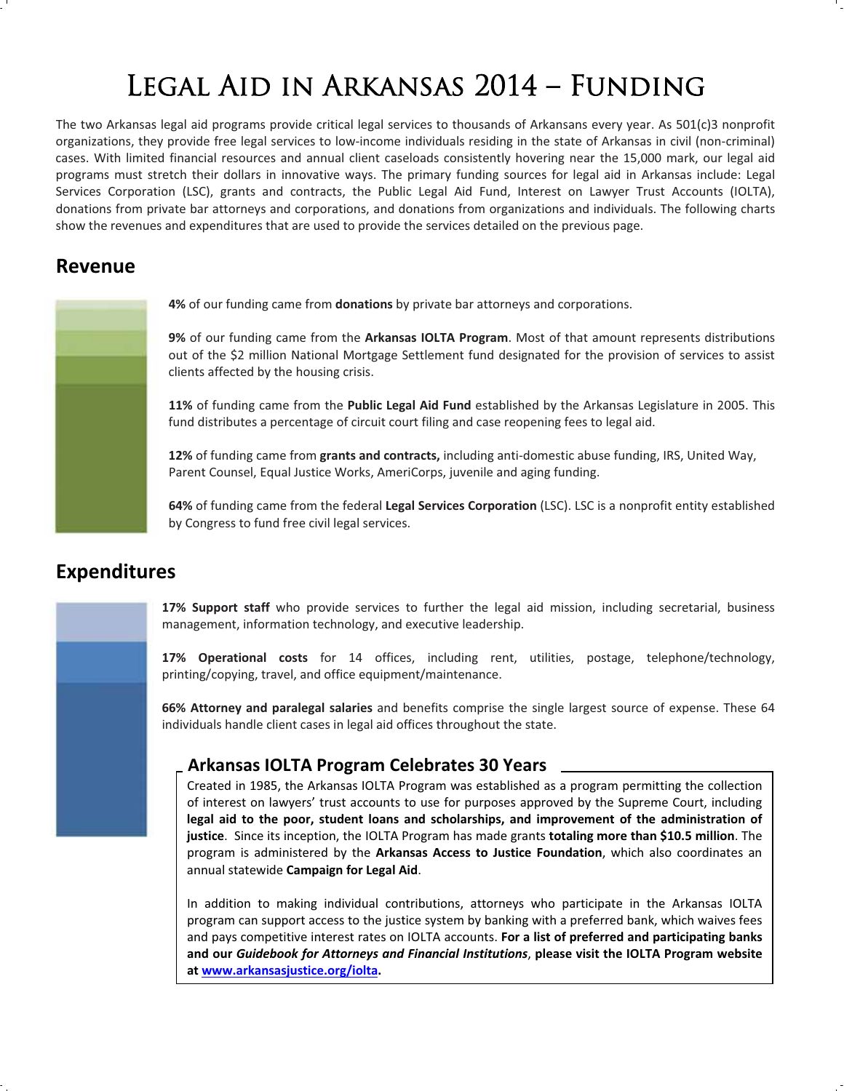# Legal Aid in Arkansas 2014 – Funding

The two Arkansas legal aid programs provide critical legal services to thousands of Arkansans every year. As 501(c)3 nonprofit organizations, they provide free legal services to low-income individuals residing in the state of Arkansas in civil (non-criminal) cases. With limited financial resources and annual client caseloads consistently hovering near the 15,000 mark, our legal aid programs must stretch their dollars in innovative ways. The primary funding sources for legal aid in Arkansas include: Legal Services Corporation (LSC), grants and contracts, the Public Legal Aid Fund, Interest on Lawyer Trust Accounts (IOLTA), donations from private bar attorneys and corporations, and donations from organizations and individuals. The following charts show the revenues and expenditures that are used to provide the services detailed on the previous page.

## **Revenue**

**4%** of our funding came from **donations** by private bar attorneys and corporations.

**9%** of our funding came from the **Arkansas IOLTA Program**. Most of that amount represents distributions out of the \$2 million National Mortgage Settlement fund designated for the provision of services to assist clients affected by the housing crisis.

**11%** of funding came from the **Public Legal Aid Fund** established by the Arkansas Legislature in 2005. This fund distributes a percentage of circuit court filing and case reopening fees to legal aid.

12% of funding came from grants and contracts, including anti-domestic abuse funding, IRS, United Way, Parent Counsel, Equal Justice Works, AmeriCorps, juvenile and aging funding.

**64%** of funding came from the federal **Legal Services Corporation** (LSC). LSC is a nonprofit entity established by Congress to fund free civil legal services.

## **Expenditures**

**17% Support staff** who provide services to further the legal aid mission, including secretarial, business management, information technology, and executive leadership.

**17% Operational costs** for 14 offices, including rent, utilities, postage, telephone/technology, printing/copying, travel, and office equipment/maintenance.

**66% Attorney and paralegal salaries** and benefits comprise the single largest source of expense. These 64 individuals handle client cases in legal aid offices throughout the state.

### **Arkansas IOLTA Program Celebrates 30 Years**

Created in 1985, the Arkansas IOLTA Program was established as a program permitting the collection of interest on lawyers' trust accounts to use for purposes approved by the Supreme Court, including **legal aid to the poor, student loans and scholarships, and improvement of the administration of justice**.Since its inception, the IOLTA Program has made grants **totaling more than \$10.5 million**. The program is administered by the **Arkansas Access to Justice Foundation**, which also coordinates an annual statewide **Campaign for Legal Aid**.

In addition to making individual contributions, attorneys who participate in the Arkansas IOLTA program can support access to the justice system by banking with a preferred bank, which waives fees and pays competitive interest rates on IOLTA accounts. **For a list of preferred and participating banks and our** *Guidebook for Attorneys and Financial Institutions*, **please visit the IOLTA Program website at www.arkansasjustice.org/iolta.**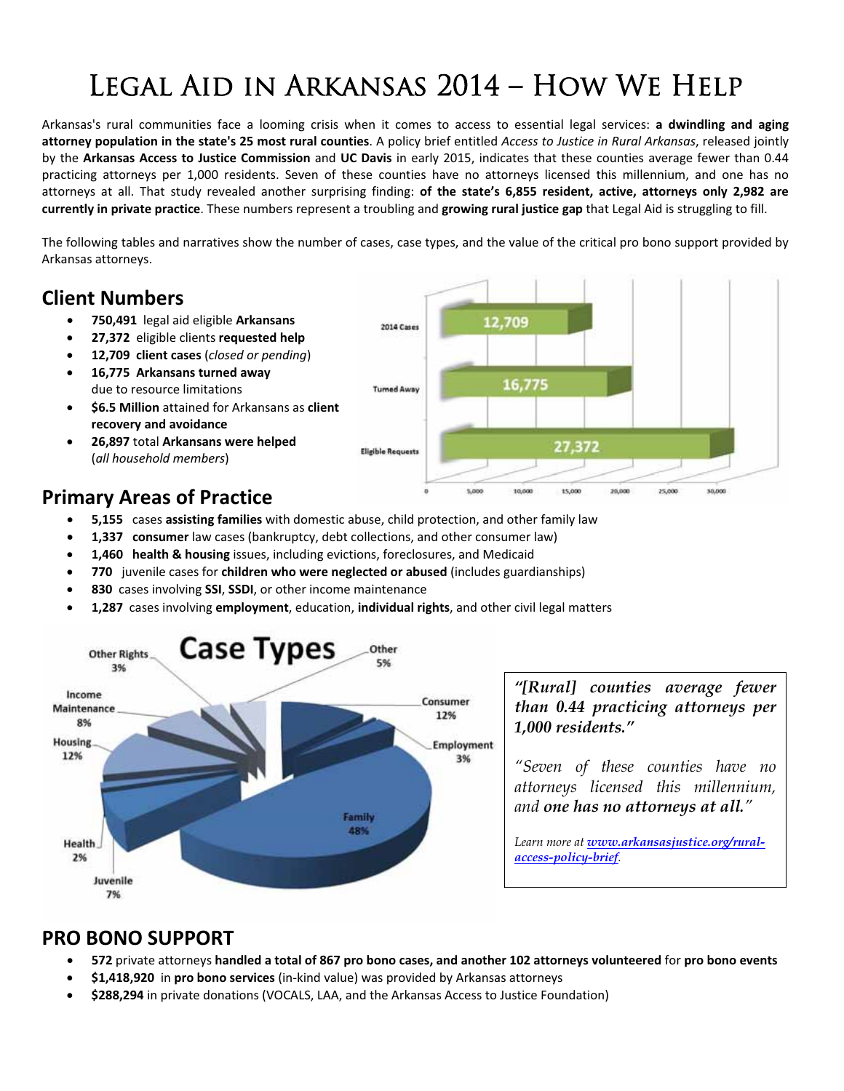# Legal Aid in Arkansas 2014 – How We Help

Arkansas's rural communities face a looming crisis when it comes to access to essential legal services: **a dwindling and aging** attorney population in the state's 25 most rural counties. A policy brief entitled Access to Justice in Rural Arkansas, released jointly by the **Arkansas Access to Justice Commission** and **UC Davis** in early 2015, indicates that these counties average fewer than 0.44 practicing attorneys per 1,000 residents. Seven of these counties have no attorneys licensed this millennium, and one has no attorneys at all. That study revealed another surprising finding: **of the state's 6,855 resident, active, attorneys only 2,982 are currently in private practice**. These numbers represent a troubling and **growing rural justice gap** that Legal Aid is struggling to fill.

The following tables and narratives show the number of cases, case types, and the value of the critical pro bono support provided by Arkansas attorneys.

## **Client Numbers**

- x **750,491**legal aid eligible **Arkansans**
- x **27,372**eligible clients **requested help**
- x **12,709client cases** (*closed or pending*)
- x **16,775Arkansans turned away** due to resource limitations
- x **\$6.5 Million** attained for Arkansans as **client recovery and avoidance**
- x **26,897** total **Arkansans were helped** (*all household members*)

# **Primary Areas of Practice**

- **5,155** cases **assisting families** with domestic abuse, child protection, and other family law
- 1,337 consumer law cases (bankruptcy, debt collections, and other consumer law)
- x **1,460health & housing** issues, including evictions, foreclosures, and Medicaid
- x **770** juvenile cases for **children who were neglected or abused** (includes guardianships)
- x **830**cases involving **SSI**, **SSDI**, or other income maintenance
- x **1,287**cases involving **employment**, education, **individual rights**, and other civil legal matters



*"[Rural] counties average fewer than 0.44 practicing attorneys per 1,000 residents."*

*"Seven of these counties have no attorneys licensed this millennium, and one has no attorneys at all."*

*Learn more at www.arkansasjustice.org/ruralaccess-policy-brief.*

# **PRO BONO SUPPORT**

- 572 private attorneys handled a total of 867 pro bono cases, and another 102 attorneys volunteered for pro bono events
- **\$1,418,920** in **pro bono services** (in-kind value) was provided by Arkansas attorneys
- x **\$288,294** in private donations (VOCALS, LAA, and the Arkansas Access to Justice Foundation)

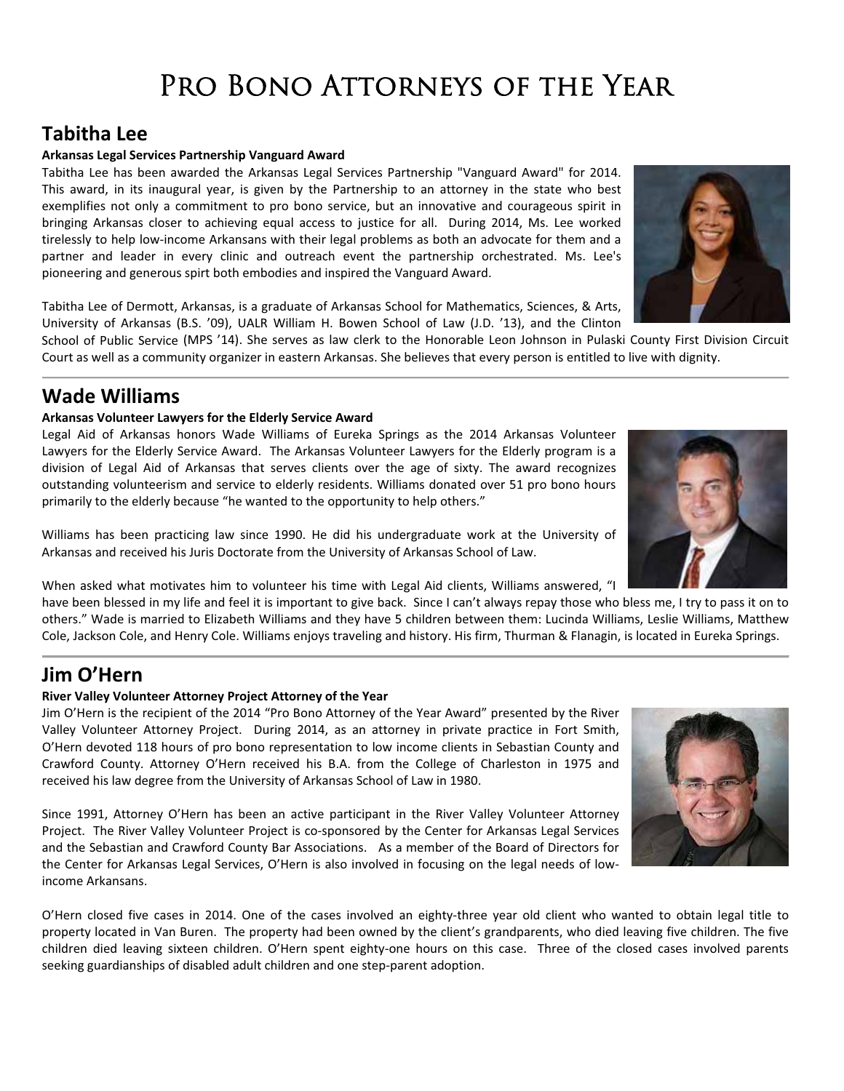# PRO BONO ATTORNEYS OF THE YEAR

## **Tabitha Lee**

#### **Arkansas Legal Services Partnership Vanguard Award**

Tabitha Lee has been awarded the Arkansas Legal Services Partnership "Vanguard Award" for 2014. This award, in its inaugural year, is given by the Partnership to an attorney in the state who best exemplifies not only a commitment to pro bono service, but an innovative and courageous spirit in bringing Arkansas closer to achieving equal access to justice for all. During 2014, Ms. Lee worked tirelessly to help low-income Arkansans with their legal problems as both an advocate for them and a partner and leader in every clinic and outreach event the partnership orchestrated. Ms. Lee's pioneering and generous spirt both embodies and inspired the Vanguard Award.

Tabitha Lee of Dermott, Arkansas, is a graduate of Arkansas School for Mathematics, Sciences, & Arts, University of Arkansas (B.S. '09), UALR William H. Bowen School of Law (J.D. '13), and the Clinton

School of Public Service (MPS '14). She serves as law clerk to the Honorable Leon Johnson in Pulaski County First Division Circuit Court as well as a community organizer in eastern Arkansas. She believes that every person is entitled to live with dignity.

## **Wade Williams**

#### **Arkansas Volunteer Lawyers for the Elderly Service Award**

Legal Aid of Arkansas honors Wade Williams of Eureka Springs as the 2014 Arkansas Volunteer Lawyers for the Elderly Service Award. The Arkansas Volunteer Lawyers for the Elderly program is a division of Legal Aid of Arkansas that serves clients over the age of sixty. The award recognizes outstanding volunteerism and service to elderly residents. Williams donated over 51 pro bono hours primarily to the elderly because "he wanted to the opportunity to help others."

Williams has been practicing law since 1990. He did his undergraduate work at the University of Arkansas and received his Juris Doctorate from the University of Arkansas School of Law.

When asked what motivates him to volunteer his time with Legal Aid clients, Williams answered, "I

have been blessed in my life and feel it is important to give back. Since I can't always repay those who bless me, I try to pass it on to others." Wade is married to Elizabeth Williams and they have 5 children between them: Lucinda Williams, Leslie Williams, Matthew Cole, Jackson Cole, and Henry Cole. Williams enjoys traveling and history. His firm, Thurman & Flanagin, is located in Eureka Springs.

## **Jim O'Hern**

#### **River Valley Volunteer Attorney Project Attorney of the Year**

Jim O'Hern is the recipient of the 2014 "Pro Bono Attorney of the Year Award" presented by the River Valley Volunteer Attorney Project. During 2014, as an attorney in private practice in Fort Smith, O'Hern devoted 118 hours of pro bono representation to low income clients in Sebastian County and Crawford County. Attorney O'Hern received his B.A. from the College of Charleston in 1975 and received his law degree from the University of Arkansas School of Law in 1980.

Since 1991, Attorney O'Hern has been an active participant in the River Valley Volunteer Attorney Project. The River Valley Volunteer Project is co-sponsored by the Center for Arkansas Legal Services and the Sebastian and Crawford County Bar Associations. As a member of the Board of Directors for the Center for Arkansas Legal Services, O'Hern is also involved in focusing on the legal needs of lowincome Arkansans.

O'Hern closed five cases in 2014. One of the cases involved an eighty-three year old client who wanted to obtain legal title to property located in Van Buren. The property had been owned by the client's grandparents, who died leaving five children. The five children died leaving sixteen children. O'Hern spent eighty-one hours on this case. Three of the closed cases involved parents seeking guardianships of disabled adult children and one step-parent adoption.





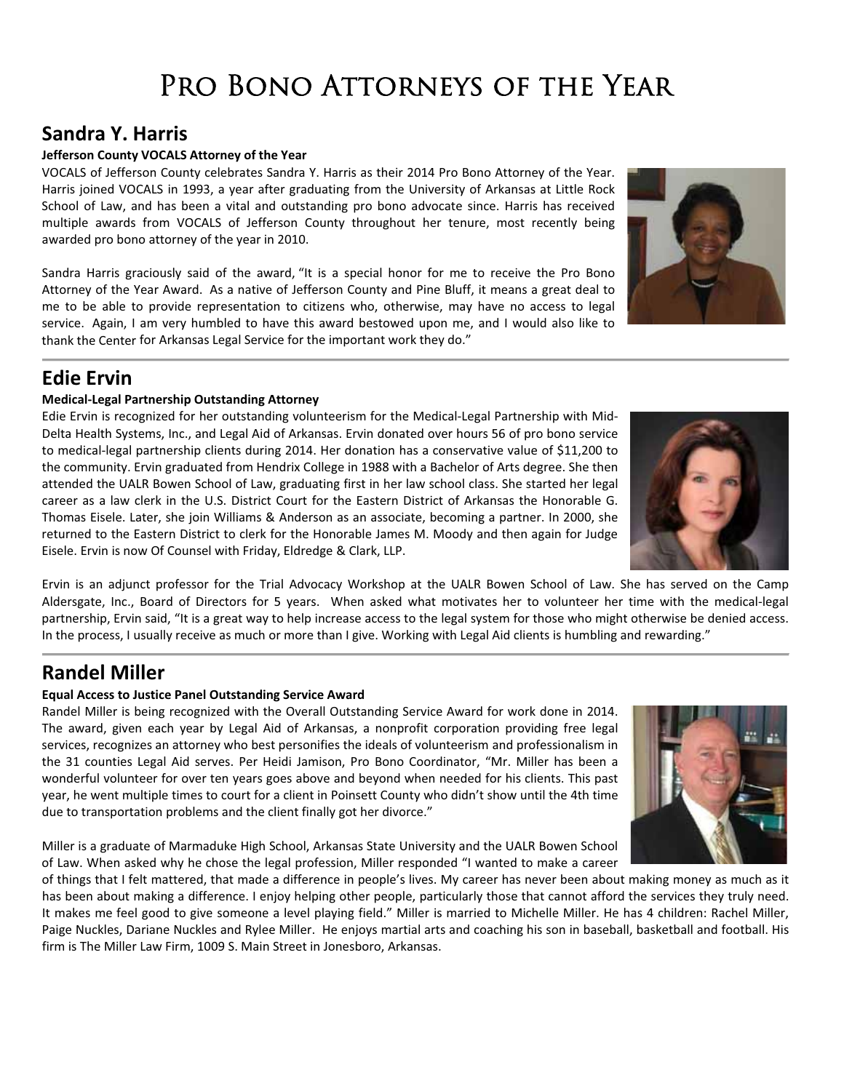# PRO BONO ATTORNEYS OF THE YEAR

## **Sandra Y. Harris**

#### **Jefferson County VOCALS Attorney of the Year**

VOCALS of Jefferson County celebrates Sandra Y. Harris as their 2014 Pro Bono Attorney of the Year. Harris joined VOCALS in 1993, a year after graduating from the University of Arkansas at Little Rock School of Law, and has been a vital and outstanding pro bono advocate since. Harris has received multiple awards from VOCALS of Jefferson County throughout her tenure, most recently being awarded pro bono attorney of the year in 2010.

Sandra Harris graciously said of the award, "It is a special honor for me to receive the Pro Bono Attorney of the Year Award. As a native of Jefferson County and Pine Bluff, it means a great deal to me to be able to provide representation to citizens who, otherwise, may have no access to legal service. Again, I am very humbled to have this award bestowed upon me, and I would also like to thank the Center for Arkansas Legal Service for the important work they do."

## **Edie Ervin**

#### **MedicalͲLegal Partnership Outstanding Attorney**

Edie Ervin is recognized for her outstanding volunteerism for the Medical-Legal Partnership with Mid-Delta Health Systems, Inc., and Legal Aid of Arkansas. Ervin donated over hours 56 of pro bono service to medical-legal partnership clients during 2014. Her donation has a conservative value of \$11,200 to the community. Ervin graduated from Hendrix College in 1988 with a Bachelor of Arts degree. She then attended the UALR Bowen School of Law, graduating first in her law school class. She started her legal career as a law clerk in the U.S. District Court for the Eastern District of Arkansas the Honorable G. Thomas Eisele. Later, she join Williams & Anderson as an associate, becoming a partner. In 2000, she returned to the Eastern District to clerk for the Honorable James M. Moody and then again for Judge Eisele. Ervin is now Of Counsel with Friday, Eldredge & Clark, LLP.

Ervin is an adjunct professor for the Trial Advocacy Workshop at the UALR Bowen School of Law. She has served on the Camp Aldersgate, Inc., Board of Directors for 5 years. When asked what motivates her to volunteer her time with the medical-legal partnership, Ervin said, "It is a great way to help increase access to the legal system for those who might otherwise be denied access. In the process, I usually receive as much or more than I give. Working with Legal Aid clients is humbling and rewarding."

## **Randel Miller**

#### **Equal Access to Justice Panel Outstanding Service Award**

Randel Miller is being recognized with the Overall Outstanding Service Award for work done in 2014. The award, given each year by Legal Aid of Arkansas, a nonprofit corporation providing free legal services, recognizes an attorney who best personifies the ideals of volunteerism and professionalism in the 31 counties Legal Aid serves. Per Heidi Jamison, Pro Bono Coordinator, "Mr. Miller has been a wonderful volunteer for over ten years goes above and beyond when needed for his clients. This past year, he went multiple times to court for a client in Poinsett County who didn't show until the 4th time due to transportation problems and the client finally got her divorce."

Miller is a graduate of Marmaduke High School, Arkansas State University and the UALR Bowen School of Law. When asked why he chose the legal profession, Miller responded "I wanted to make a career

of things that I felt mattered, that made a difference in people's lives. My career has never been about making money as much as it has been about making a difference. I enjoy helping other people, particularly those that cannot afford the services they truly need. It makes me feel good to give someone a level playing field." Miller is married to Michelle Miller. He has 4 children: Rachel Miller, Paige Nuckles, Dariane Nuckles and Rylee Miller. He enjoys martial arts and coaching his son in baseball, basketball and football. His firm is The Miller Law Firm, 1009 S. Main Street in Jonesboro, Arkansas.





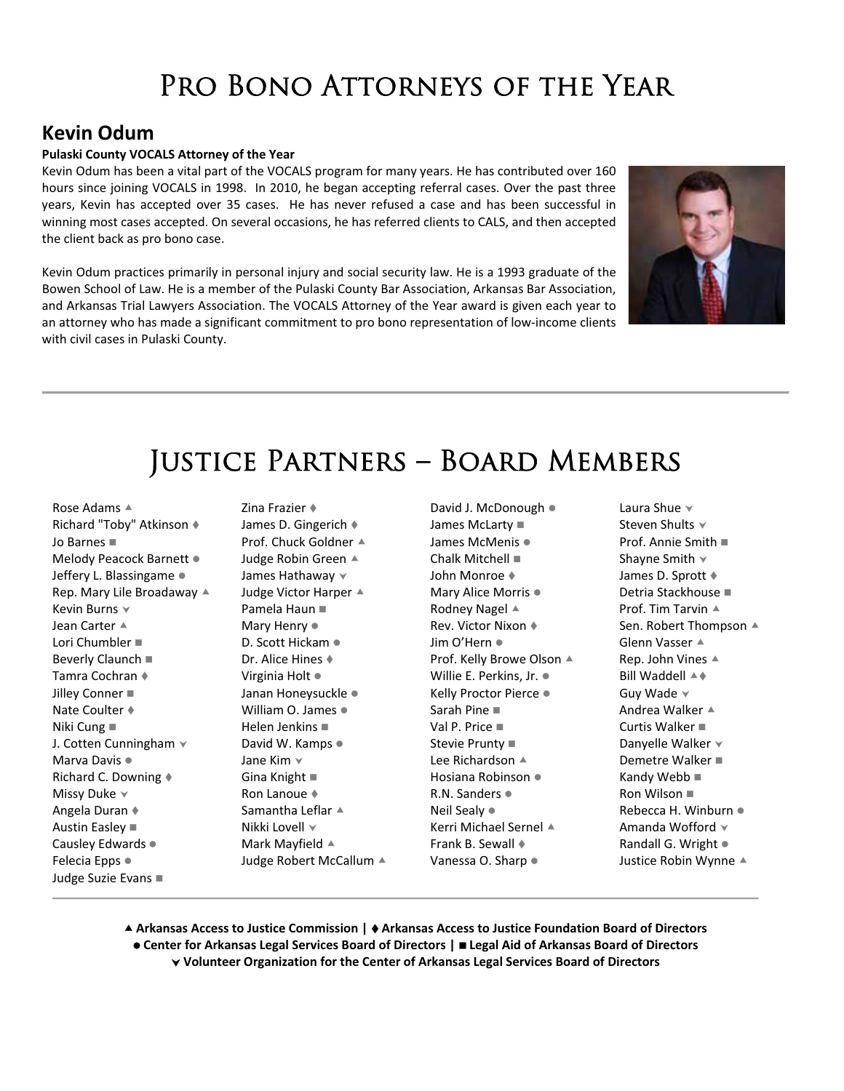# PRO BONO ATTORNEYS OF THE YEAR

## **Kevin Odum**

#### **Pulaski County VOCALS Attorney of the Year**

Kevin Odum has been a vital part of the VOCALS program for many years. He has contributed over 160 hours since joining VOCALS in 1998. In 2010, he began accepting referral cases. Over the past three years, Kevin has accepted over 35 cases. He has never refused a case and has been successful in winning most cases accepted. On several occasions, he has referred clients to CALS, and then accepted the client back as pro bono case.

Kevin Odum practices primarily in personal injury and social security law. He is a 1993 graduate of the Bowen School of Law. He is a member of the Pulaski County Bar Association, Arkansas Bar Association, and Arkansas Trial Lawyers Association. The VOCALS Attorney of the Year award is given each year to an attorney who has made a significant commitment to pro bono representation of low-income clients with civil cases in Pulaski County.



# Justice Partners – Board Members

Rose Adams  $\triangle$ Richard "Toby" Atkinson Jo Barnes Melody Peacock Barnett • Jeffery L. Blassingame • Rep. Mary Lile Broadaway  $\triangle$ Kevin Burns  $\vee$ Jean Carter  $\triangle$ Lori Chumbler Beverly Claunch ■ Tamra Cochran Jilley Conner **Nate Coulter ♦** Niki Cung J. Cotten Cunningham  $\vee$ Marva Davis • Richard C. Downing Missy Duke  $\vee$ Angela Duran Austin Easley Causley Edwards • Felecia Epps  $\bullet$ Judge Suzie Evans

Zina Frazier James D. Gingerich Prof. Chuck Goldner  $\triangle$ Judge Robin Green ▲ James Hathaway  $\vee$ Judge Victor Harper  $\triangle$ Pamela Haun Mary Henry  $\bullet$ D. Scott Hickam · Dr. Alice Hines Virginia Holt • Janan Honeysuckle • William O. James  $\bullet$ Helen Jenkins David W. Kamps  $\bullet$ Jane Kim  $\vee$ Gina Knight Ron Lanoue Samantha Leflar  $\triangle$ Nikki Lovell  $\vee$ Mark Mayfield  $\triangle$ Judge Robert McCallum ▲

David J. McDonough  $\bullet$ James McLarty ■ James McMenis • Chalk Mitchell John Monroe Mary Alice Morris • Rodney Nagel  $\triangle$ Rev. Victor Nixon Jim O'Hern · Prof. Kelly Browe Olson ▲ Willie E. Perkins, Jr.  $\bullet$ Kelly Proctor Pierce . Sarah Pine Val P. Price Stevie Prunty Lee Richardson  $\triangle$ Hosiana Robinson • R.N. Sanders  $\bullet$ Neil Sealy • Kerri Michael Sernel  $\triangle$ Frank B. Sewall Vanessa O. Sharp  $\bullet$ 

Laura Shue  $\vee$ Steven Shults  $\vee$ Prof. Annie Smith Shayne Smith  $\vee$ James D. Sprott Detria Stackhouse Prof. Tim Tarvin  $\triangle$ Sen. Robert Thompson ▲ Glenn Vasser  $\triangle$ Rep. John Vines  $\triangle$ Bill Waddell  $\triangle$   $\triangle$ Guy Wade  $\vee$ Andrea Walker  $\triangle$ Curtis Walker Danyelle Walker  $\forall$ Demetre Walker Kandy Webb ■ Ron Wilson Rebecca H. Winburn  $\bullet$ Amanda Wofford  $\checkmark$ Randall G. Wright  $\bullet$ Justice Robin Wynne ▲

c **Arkansas Access to Justice Commission | Arkansas Access to Justice Foundation Board of Directors** z **Center for Arkansas Legal Services Board of Directors | Legal Aid of Arkansas Board of Directors** j **Volunteer Organization for the Center of Arkansas Legal Services Board of Directors**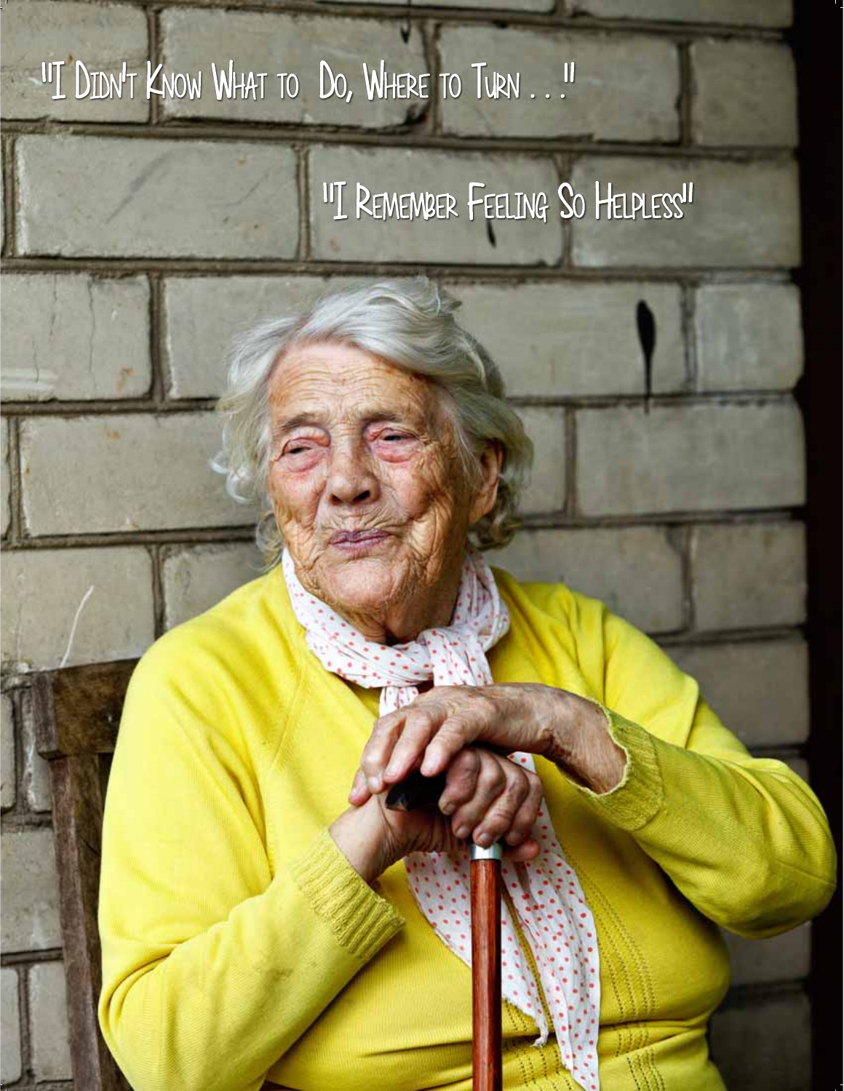# "I DIDN'T KNOW WHAT TO DO, WHERE TO TURN . .!"

# "I REMEMBER FEELING SO HELPLESS"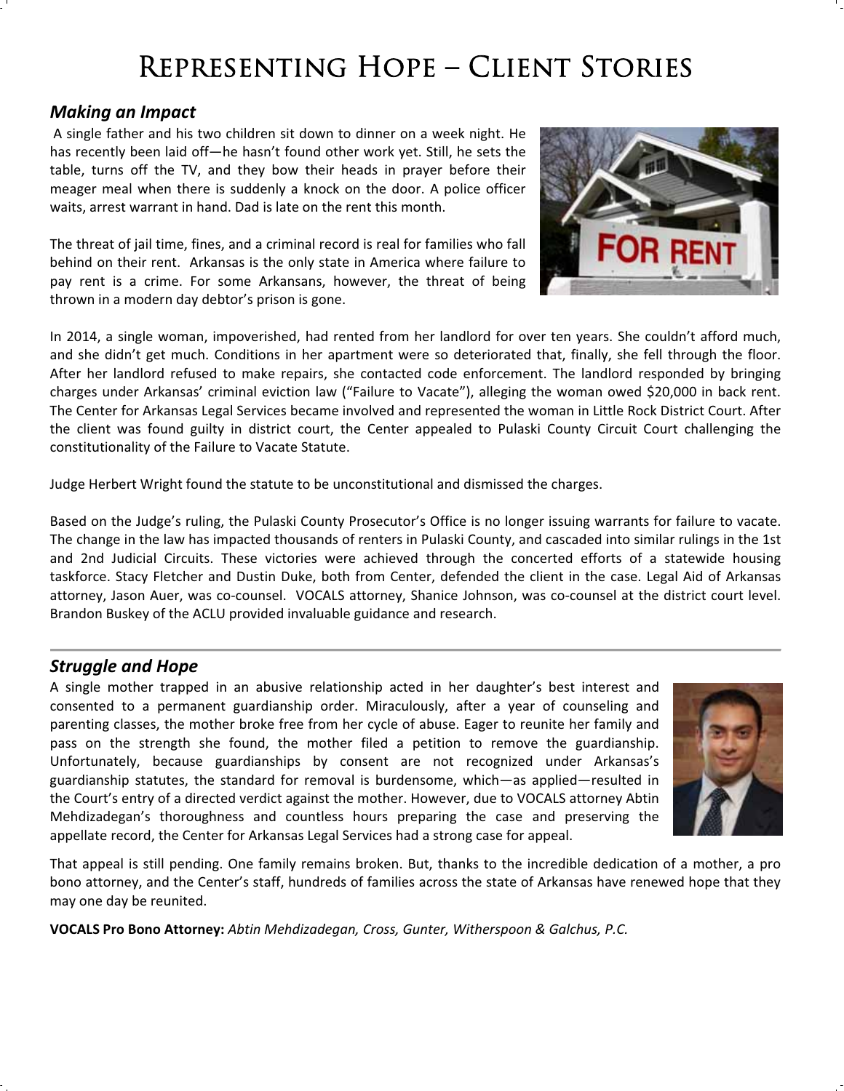# Representing Hope – Client Stories

### *Making an Impact*

A single father and his two children sit down to dinner on a week night. He has recently been laid off—he hasn't found other work yet. Still, he sets the table, turns off the TV, and they bow their heads in prayer before their meager meal when there is suddenly a knock on the door. A police officer waits, arrest warrant in hand. Dad is late on the rent this month.

The threat of jail time, fines, and a criminal record is real for families who fall behind on their rent. Arkansas is the only state in America where failure to pay rent is a crime. For some Arkansans, however, the threat of being thrown in a modern day debtor's prison is gone.

In 2014, a single woman, impoverished, had rented from her landlord for over ten years. She couldn't afford much, and she didn't get much. Conditions in her apartment were so deteriorated that, finally, she fell through the floor. After her landlord refused to make repairs, she contacted code enforcement. The landlord responded by bringing charges under Arkansas' criminal eviction law ("Failure to Vacate"), alleging the woman owed \$20,000 in back rent. The Center for Arkansas Legal Services became involved and represented the woman in Little Rock District Court. After the client was found guilty in district court, the Center appealed to Pulaski County Circuit Court challenging the constitutionality of the Failure to Vacate Statute.

Judge Herbert Wright found the statute to be unconstitutional and dismissed the charges.

Based on the Judge's ruling, the Pulaski County Prosecutor's Office is no longer issuing warrants for failure to vacate. The change in the law has impacted thousands of renters in Pulaski County, and cascaded into similar rulings in the 1st and 2nd Judicial Circuits. These victories were achieved through the concerted efforts of a statewide housing taskforce. Stacy Fletcher and Dustin Duke, both from Center, defended the client in the case. Legal Aid of Arkansas attorney, Jason Auer, was co-counsel. VOCALS attorney, Shanice Johnson, was co-counsel at the district court level. Brandon Buskey of the ACLU provided invaluable guidance and research.

### *Struggle and Hope*

A single mother trapped in an abusive relationship acted in her daughter's best interest and consented to a permanent guardianship order. Miraculously, after a year of counseling and parenting classes, the mother broke free from her cycle of abuse. Eager to reunite her family and pass on the strength she found, the mother filed a petition to remove the guardianship. Unfortunately, because guardianships by consent are not recognized under Arkansas's guardianship statutes, the standard for removal is burdensome, which—as applied—resulted in the Court's entry of a directed verdict against the mother. However, due to VOCALS attorney Abtin Mehdizadegan's thoroughness and countless hours preparing the case and preserving the appellate record, the Center for Arkansas Legal Services had a strong case for appeal.



That appeal is still pending. One family remains broken. But, thanks to the incredible dedication of a mother, a pro bono attorney, and the Center's staff, hundreds of families across the state of Arkansas have renewed hope that they may one day be reunited.

**VOCALS Pro Bono Attorney:** *Abtin Mehdizadegan, Cross, Gunter, Witherspoon & Galchus, P.C.*

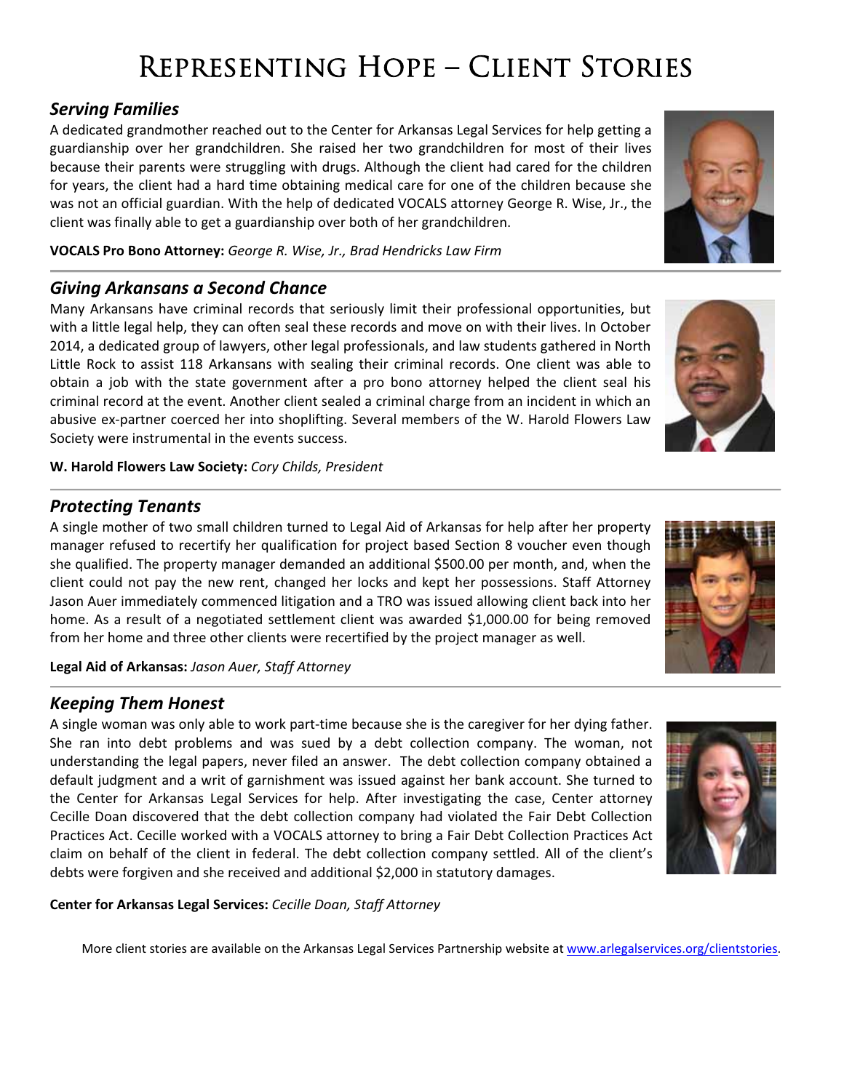# Representing Hope – Client Stories

## *Serving Families*

A dedicated grandmother reached out to the Center for Arkansas Legal Services for help getting a guardianship over her grandchildren. She raised her two grandchildren for most of their lives because their parents were struggling with drugs. Although the client had cared for the children for years, the client had a hard time obtaining medical care for one of the children because she was not an official guardian. With the help of dedicated VOCALS attorney George R. Wise, Jr., the client was finally able to get a guardianship over both of her grandchildren.

**VOCALS Pro Bono Attorney:** *George R. Wise, Jr., Brad Hendricks Law Firm*

## *Giving Arkansans a Second Chance*

Many Arkansans have criminal records that seriously limit their professional opportunities, but with a little legal help, they can often seal these records and move on with their lives. In October 2014, a dedicated group of lawyers, other legal professionals, and law students gathered in North Little Rock to assist 118 Arkansans with sealing their criminal records. One client was able to obtain a job with the state government after a pro bono attorney helped the client seal his criminal record at the event. Another client sealed a criminal charge from an incident in which an abusive ex-partner coerced her into shoplifting. Several members of the W. Harold Flowers Law Society were instrumental in the events success.

**W. Harold Flowers Law Society:** *Cory Childs, President*

## *Protecting Tenants*

A single mother of two small children turned to Legal Aid of Arkansas for help after her property manager refused to recertify her qualification for project based Section 8 voucher even though she qualified. The property manager demanded an additional \$500.00 per month, and, when the client could not pay the new rent, changed her locks and kept her possessions. Staff Attorney Jason Auer immediately commenced litigation and a TRO was issued allowing client back into her home. As a result of a negotiated settlement client was awarded \$1,000.00 for being removed from her home and three other clients were recertified by the project manager as well.

**Legal Aid of Arkansas:** *Jason Auer, Staff Attorney*

### *Keeping Them Honest*

A single woman was only able to work part-time because she is the caregiver for her dying father. She ran into debt problems and was sued by a debt collection company. The woman, not understanding the legal papers, never filed an answer. The debt collection company obtained a default judgment and a writ of garnishment was issued against her bank account. She turned to the Center for Arkansas Legal Services for help. After investigating the case, Center attorney Cecille Doan discovered that the debt collection company had violated the Fair Debt Collection Practices Act. Cecille worked with a VOCALS attorney to bring a Fair Debt Collection Practices Act claim on behalf of the client in federal. The debt collection company settled. All of the client's debts were forgiven and she received and additional \$2,000 in statutory damages.

#### **Center for Arkansas Legal Services:** *Cecille Doan, Staff Attorney*

More client stories are available on the Arkansas Legal Services Partnership website at www.arlegalservices.org/clientstories.





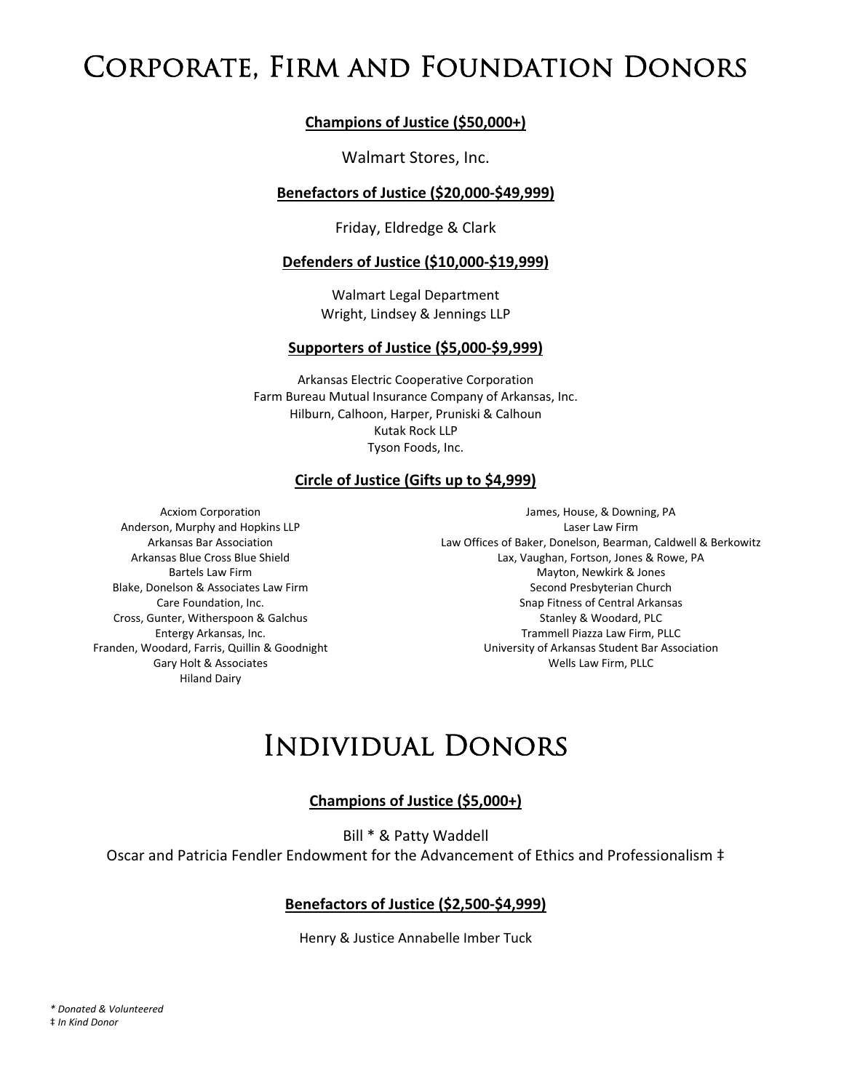# Corporate, Firm and Foundation Donors

#### **Champions of Justice (\$50,000+)**

#### Walmart Stores, Inc.

#### **Benefactors of Justice (\$20,000-\$49,999)**

Friday, Eldredge & Clark

#### **Defenders of Justice (\$10,000-\$19,999)**

Walmart Legal Department Wright, Lindsey & Jennings LLP

#### **Supporters of Justice (\$5,000Ͳ\$9,999)**

Arkansas Electric Cooperative Corporation Farm Bureau Mutual Insurance Company of Arkansas, Inc. Hilburn, Calhoon, Harper, Pruniski & Calhoun Kutak Rock LLP Tyson Foods, Inc.

#### **Circle of Justice (Gifts up to \$4,999)**

Acxiom Corporation Anderson, Murphy and Hopkins LLP Arkansas Bar Association Arkansas Blue Cross Blue Shield Bartels Law Firm Blake, Donelson & Associates Law Firm Care Foundation, Inc. Cross, Gunter, Witherspoon & Galchus Entergy Arkansas, Inc. Franden, Woodard, Farris, Quillin & Goodnight Gary Holt & Associates Hiland Dairy

James, House, & Downing, PA Laser Law Firm Law Offices of Baker, Donelson, Bearman, Caldwell & Berkowitz Lax, Vaughan, Fortson, Jones & Rowe, PA Mayton, Newkirk & Jones Second Presbyterian Church Snap Fitness of Central Arkansas Stanley & Woodard, PLC Trammell Piazza Law Firm, PLLC University of Arkansas Student Bar Association Wells Law Firm, PLLC

# Individual Donors

#### **Champions of Justice (\$5,000+)**

Bill \* & Patty Waddell

Oscar and Patricia Fendler Endowment for the Advancement of Ethics and Professionalism ‡

#### **Benefactors of Justice (\$2,500-\$4,999)**

Henry & Justice Annabelle Imber Tuck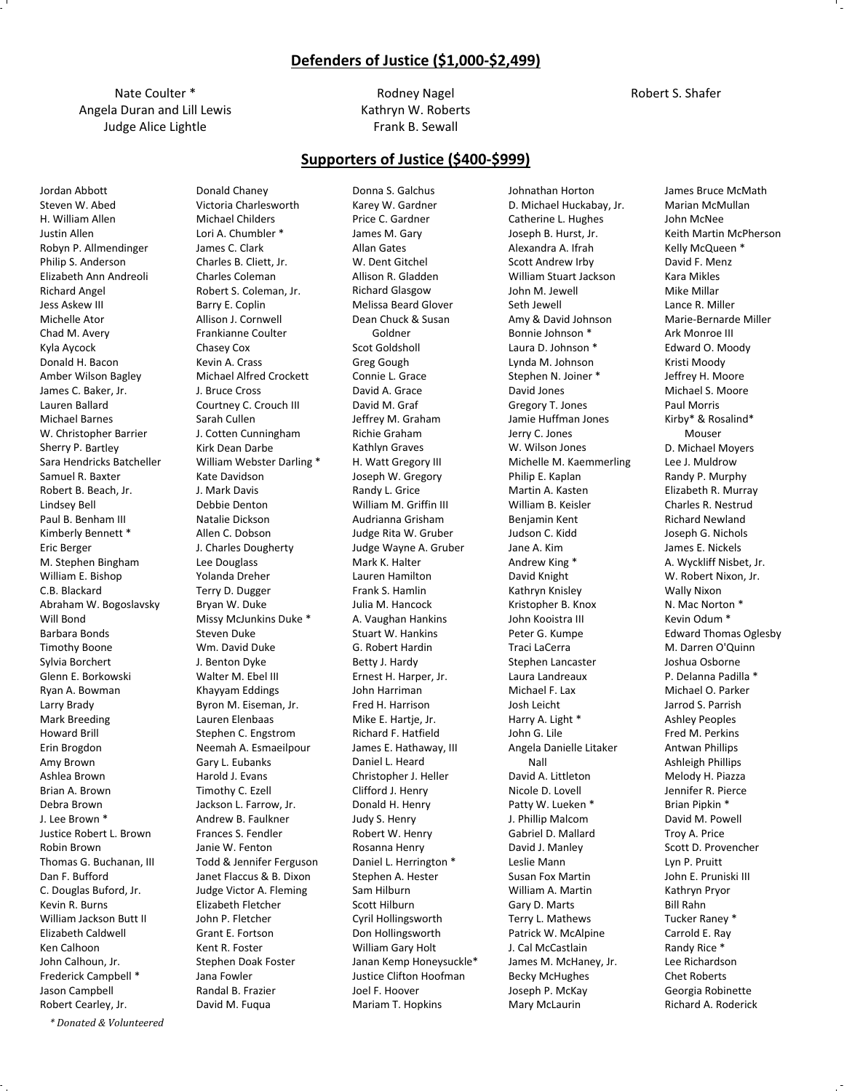#### **Defenders of Justice (\$1,000-\$2,499)**

Nate Coulter \* Angela Duran and Lill Lewis Judge Alice Lightle

> Donald Chaney Victoria Charlesworth

Rodney Nagel Kathryn W. Roberts Frank B. Sewall

#### **Supporters of Justice (\$400Ͳ\$999)**

Jordan Abbott Steven W. Abed H. William Allen Justin Allen Robyn P. Allmendinger Philip S. Anderson Elizabeth Ann Andreoli Richard Angel Jess Askew III Michelle Ator Chad M. Avery Kyla Aycock Donald H. Bacon Amber Wilson Bagley James C. Baker, Jr. Lauren Ballard Michael Barnes W. Christopher Barrier Sherry P. Bartley Sara Hendricks Batcheller Samuel R. Baxter Robert B. Beach, Jr. Lindsey Bell Paul B. Benham III Kimberly Bennett \* Eric Berger M. Stephen Bingham William E. Bishop C.B. Blackard Abraham W. Bogoslavsky Will Bond Barbara Bonds Timothy Boone Sylvia Borchert Glenn E. Borkowski Ryan A. Bowman Larry Brady Mark Breeding Howard Brill Erin Brogdon Amy Brown Ashlea Brown Brian A. Brown Debra Brown J. Lee Brown \* Justice Robert L. Brown Robin Brown Thomas G. Buchanan, III Dan F. Bufford C. Douglas Buford, Jr. Kevin R. Burns William Jackson Butt II Elizabeth Caldwell Ken Calhoon John Calhoun, Jr. Frederick Campbell \* Jason Campbell Robert Cearley, Jr.

Michael Childers Lori A. Chumbler \* James C. Clark Charles B. Cliett, Jr. Charles Coleman Robert S. Coleman, Jr. Barry E. Coplin Allison J. Cornwell Frankianne Coulter Chasey Cox Kevin A. Crass Michael Alfred Crockett J. Bruce Cross Courtney C. Crouch III Sarah Cullen J. Cotten Cunningham Kirk Dean Darbe William Webster Darling \* Kate Davidson J. Mark Davis Debbie Denton Natalie Dickson Allen C. Dobson J. Charles Dougherty Lee Douglass Yolanda Dreher Terry D. Dugger Bryan W. Duke Missy McJunkins Duke \* Steven Duke Wm. David Duke J. Benton Dyke Walter M. Ebel III Khayyam Eddings Byron M. Eiseman, Jr. Lauren Elenbaas Stephen C. Engstrom Neemah A. Esmaeilpour Gary L. Eubanks Harold J. Evans Timothy C. Ezell Jackson L. Farrow, Jr. Andrew B. Faulkner Frances S. Fendler Janie W. Fenton Todd & Jennifer Ferguson Janet Flaccus & B. Dixon Judge Victor A. Fleming Elizabeth Fletcher John P. Fletcher Grant E. Fortson Kent R. Foster Stephen Doak Foster Jana Fowler Randal B. Frazier David M. Fuqua

Donna S. Galchus Karey W. Gardner Price C. Gardner James M. Gary Allan Gates W. Dent Gitchel Allison R. Gladden Richard Glasgow Melissa Beard Glover Dean Chuck & Susan Goldner Scot Goldsholl Greg Gough Connie L. Grace David A. Grace David M. Graf Jeffrey M. Graham Richie Graham Kathlyn Graves H. Watt Gregory III Joseph W. Gregory Randy L. Grice William M. Griffin III Audrianna Grisham Judge Rita W. Gruber Judge Wayne A. Gruber Mark K. Halter Lauren Hamilton Frank S. Hamlin Julia M. Hancock A. Vaughan Hankins Stuart W. Hankins G. Robert Hardin Betty J. Hardy Ernest H. Harper, Jr. John Harriman Fred H. Harrison Mike E. Hartje, Jr. Richard F. Hatfield James E. Hathaway, III Daniel L. Heard Christopher J. Heller Clifford J. Henry Donald H. Henry Judy S. Henry Robert W. Henry Rosanna Henry Daniel L. Herrington \* Stephen A. Hester Sam Hilburn Scott Hilburn Cyril Hollingsworth Don Hollingsworth William Gary Holt Janan Kemp Honeysuckle\* Justice Clifton Hoofman Joel F. Hoover Mariam T. Hopkins

Johnathan Horton D. Michael Huckabay, Jr. Catherine L. Hughes Joseph B. Hurst, Jr. Alexandra A. Ifrah Scott Andrew Irby William Stuart Jackson John M. Jewell Seth Jewell Amy & David Johnson Bonnie Johnson \* Laura D. Johnson \* Lynda M. Johnson Stephen N. Joiner \* David Jones Gregory T. Jones Jamie Huffman Jones Jerry C. Jones W. Wilson Jones Michelle M. Kaemmerling Philip E. Kaplan Martin A. Kasten William B. Keisler Benjamin Kent Judson C. Kidd Jane A. Kim Andrew King \* David Knight Kathryn Knisley Kristopher B. Knox John Kooistra III Peter G. Kumpe Traci LaCerra Stephen Lancaster Laura Landreaux Michael F. Lax Josh Leicht Harry A. Light \* John G. Lile Angela Danielle Litaker Nall David A. Littleton Nicole D. Lovell Patty W. Lueken \* J. Phillip Malcom Gabriel D. Mallard David J. Manley Leslie Mann Susan Fox Martin William A. Martin Gary D. Marts Terry L. Mathews Patrick W. McAlpine J. Cal McCastlain James M. McHaney, Jr. Becky McHughes Joseph P. McKay Mary McLaurin

James Bruce McMath Marian McMullan John McNee Keith Martin McPherson Kelly McQueen \* David F. Menz Kara Mikles Mike Millar Lance R. Miller Marie-Bernarde Miller Ark Monroe III Edward O. Moody Kristi Moody Jeffrey H. Moore Michael S. Moore Paul Morris Kirby\* & Rosalind\* Mouser D. Michael Moyers Lee J. Muldrow Randy P. Murphy Elizabeth R. Murray Charles R. Nestrud Richard Newland Joseph G. Nichols James E. Nickels A. Wyckliff Nisbet, Jr. W. Robert Nixon, Jr. Wally Nixon N. Mac Norton \* Kevin Odum \* Edward Thomas Oglesby M. Darren O'Quinn Joshua Osborne P. Delanna Padilla \* Michael O. Parker Jarrod S. Parrish Ashley Peoples Fred M. Perkins Antwan Phillips Ashleigh Phillips Melody H. Piazza Jennifer R. Pierce Brian Pipkin \* David M. Powell Troy A. Price Scott D. Provencher Lyn P. Pruitt John E. Pruniski III Kathryn Pryor Bill Rahn Tucker Raney \* Carrold E. Ray Randy Rice \* Lee Richardson Chet Roberts Georgia Robinette

Richard A. Roderick

*\* Donated & Volunteered*

Robert S. Shafer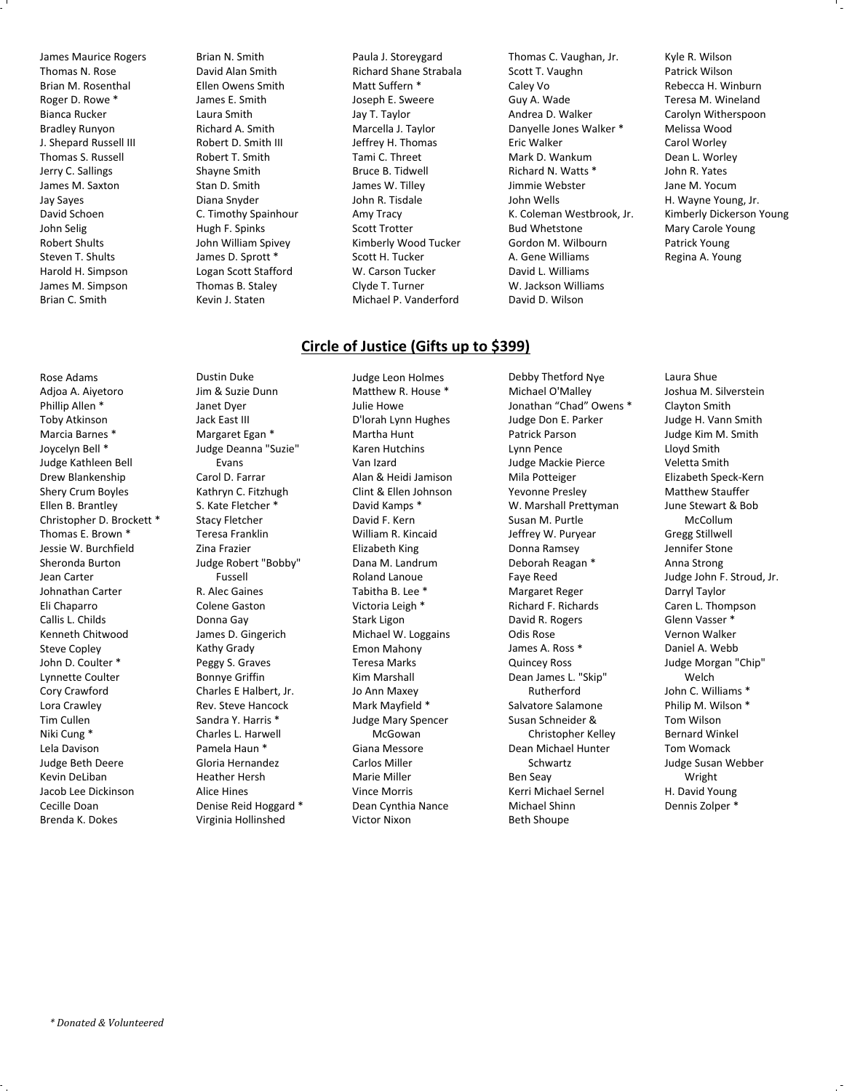James Maurice Rogers Thomas N. Rose Brian M. Rosenthal Roger D. Rowe \* Bianca Rucker Bradley Runyon J. Shepard Russell III Thomas S. Russell Jerry C. Sallings James M. Saxton Jay Sayes David Schoen John Selig Robert Shults Steven T. Shults Harold H. Simpson James M. Simpson Brian C. Smith

Brian N. Smith David Alan Smith Ellen Owens Smith James E. Smith Laura Smith Richard A. Smith Robert D. Smith III Robert T. Smith Shayne Smith Stan D. Smith Diana Snyder C. Timothy Spainhour Hugh F. Spinks John William Spivey James D. Sprott \* Logan Scott Stafford Thomas B. Staley Kevin J. Staten

Paula J. Storeygard Richard Shane Strabala Matt Suffern \* Joseph E. Sweere Jay T. Taylor Marcella J. Taylor Jeffrey H. Thomas Tami C. Threet Bruce B. Tidwell James W. Tilley John R. Tisdale Amy Tracy Scott Trotter Kimberly Wood Tucker Scott H. Tucker W. Carson Tucker Clyde T. Turner Michael P. Vanderford

#### **Circle of Justice (Gifts up to \$399)**

Rose Adams Adjoa A. Aiyetoro Phillip Allen \* Toby Atkinson Marcia Barnes \* Joycelyn Bell \* Judge Kathleen Bell Drew Blankenship Shery Crum Boyles Ellen B. Brantley Christopher D. Brockett \* Thomas E. Brown \* Jessie W. Burchfield Sheronda Burton Jean Carter Johnathan Carter Eli Chaparro Callis L. Childs Kenneth Chitwood Steve Copley John D. Coulter \* Lynnette Coulter Cory Crawford Lora Crawley Tim Cullen Niki Cung \* Lela Davison Judge Beth Deere Kevin DeLiban Jacob Lee Dickinson Cecille Doan Brenda K. Dokes

Dustin Duke Jim & Suzie Dunn Janet Dyer Jack East III Margaret Egan \* Judge Deanna "Suzie" Evans Carol D. Farrar Kathryn C. Fitzhugh S. Kate Fletcher \* Stacy Fletcher Teresa Franklin Zina Frazier Judge Robert "Bobby" Fussell R. Alec Gaines Colene Gaston Donna Gay James D. Gingerich Kathy Grady Peggy S. Graves Bonnye Griffin Charles E Halbert, Jr. Rev. Steve Hancock Sandra Y. Harris \* Charles L. Harwell Pamela Haun \* Gloria Hernandez Heather Hersh Alice Hines Denise Reid Hoggard \* Virginia Hollinshed

Judge Leon Holmes Matthew R. House \* Julie Howe D'lorah Lynn Hughes Martha Hunt Karen Hutchins Van Izard Alan & Heidi Jamison Clint & Ellen Johnson David Kamps \* David F. Kern William R. Kincaid Elizabeth King Dana M. Landrum Roland Lanoue Tabitha B. Lee \* Victoria Leigh \* Stark Ligon Michael W. Loggains Emon Mahony Teresa Marks Kim Marshall Jo Ann Maxey Mark Mayfield \* Judge Mary Spencer McGowan Giana Messore Carlos Miller Marie Miller Vince Morris Dean Cynthia Nance Victor Nixon

Debby Thetford Nye Michael O'Malley Jonathan "Chad" Owens \* Judge Don E. Parker Patrick Parson Lynn Pence Judge Mackie Pierce Mila Potteiger Yevonne Presley W. Marshall Prettyman Susan M. Purtle Jeffrey W. Puryear Donna Ramsey Deborah Reagan \* Faye Reed Margaret Reger Richard F. Richards David R. Rogers Odis Rose James A. Ross \* Quincey Ross Dean James L. "Skip" Rutherford Salvatore Salamone Susan Schneider & Christopher Kelley Dean Michael Hunter Schwartz Ben Seay Kerri Michael Sernel Michael Shinn Beth Shoupe

Thomas C. Vaughan, Jr. Scott T. Vaughn Caley Vo Guy A. Wade Andrea D. Walker Danyelle Jones Walker \*

K. Coleman Westbrook, Jr.

Eric Walker Mark D. Wankum Richard N. Watts \* Jimmie Webster John Wells

Bud Whetstone Gordon M. Wilbourn A. Gene Williams David L. Williams W. Jackson Williams David D. Wilson

Kyle R. Wilson Patrick Wilson Rebecca H. Winburn Teresa M. Wineland Carolyn Witherspoon Melissa Wood Carol Worley Dean L. Worley John R. Yates Jane M. Yocum H. Wayne Young, Jr. Kimberly Dickerson Young Mary Carole Young Patrick Young Regina A. Young

Laura Shue Joshua M. Silverstein Clayton Smith Judge H. Vann Smith Judge Kim M. Smith Lloyd Smith Veletta Smith Elizabeth Speck-Kern Matthew Stauffer June Stewart & Bob McCollum Gregg Stillwell Jennifer Stone Anna Strong Judge John F. Stroud, Jr. Darryl Taylor Caren L. Thompson Glenn Vasser \* Vernon Walker Daniel A. Webb Judge Morgan "Chip" Welch John C. Williams \* Philip M. Wilson \* Tom Wilson Bernard Winkel Tom Womack Judge Susan Webber Wright H. David Young Dennis Zolper \*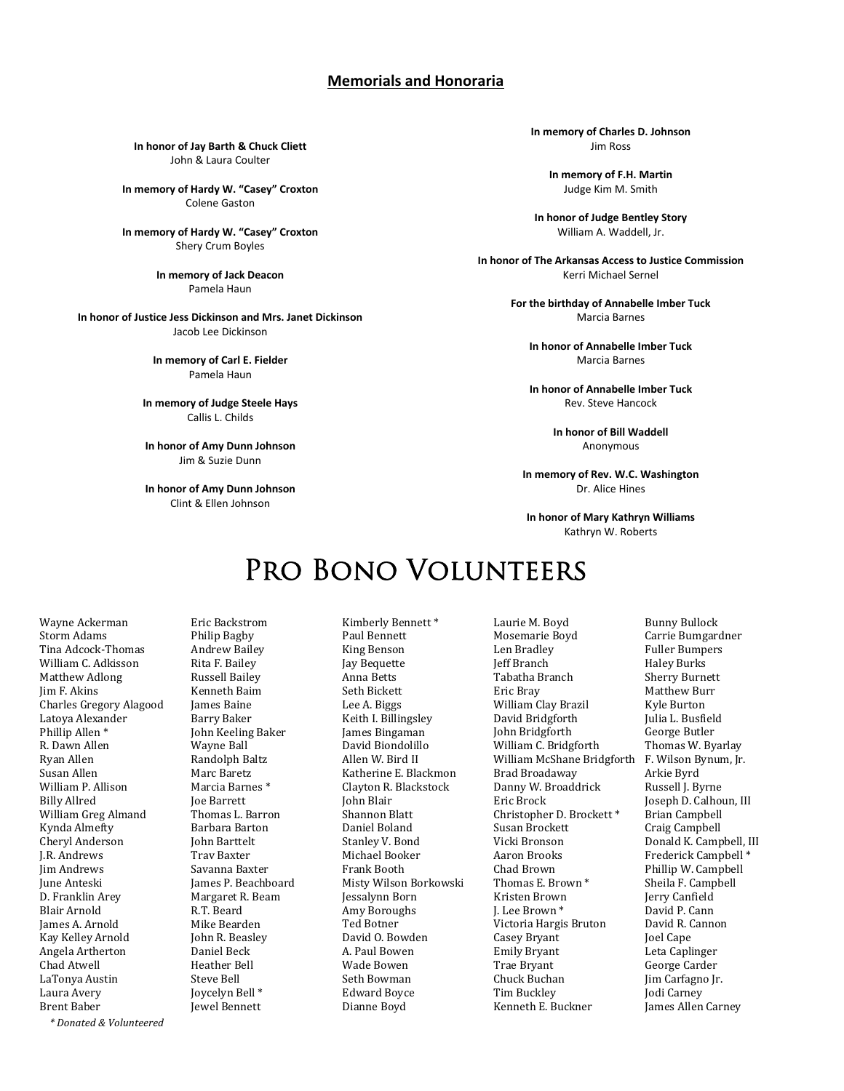#### **Memorials and Honoraria**

**In honor of Jay Barth & Chuck Cliett** John & Laura Coulter

**In memory of Hardy W. "Casey" Croxton** Colene Gaston

**In memory of Hardy W. "Casey" Croxton** Shery Crum Boyles

> **In memory of Jack Deacon** Pamela Haun

**In honor of Justice Jess Dickinson and Mrs. Janet Dickinson** Jacob Lee Dickinson

> **In memory of Carl E. Fielder** Pamela Haun

**In memory of Judge Steele Hays** Callis L. Childs

**In honor of Amy Dunn Johnson** Jim & Suzie Dunn

**In honor of Amy Dunn Johnson** Clint & Ellen Johnson

**In memory of Charles D. Johnson** Jim Ross

> **In memory of F.H. Martin** Judge Kim M. Smith

**In honor of Judge Bentley Story** William A. Waddell, Jr.

**In honor of The Arkansas Access to Justice Commission** Kerri Michael Sernel

> **For the birthday of Annabelle Imber Tuck** Marcia Barnes

**In honor of Annabelle Imber Tuck** Marcia Barnes

**In honor of Annabelle Imber Tuck** Rev. Steve Hancock

> **In honor of Bill Waddell** Anonymous

**In memory of Rev. W.C. Washington** Dr. Alice Hines

**In honor of Mary Kathryn Williams** Kathryn W. Roberts

# PRO BONO VOLUNTEERS

Wayne Ackerman **Storm Adams** Tina Adcock-Thomas William C. Adkisson Matthew Adlong Jim F. Akins Charles Gregory Alagood Latoya Alexander Phillip Allen<sup>\*</sup> R. Dawn Allen Ryan Allen Susan Allen William P. Allison **Billy Allred** William Greg Almand Kynda Almefty Cheryl Anderson **I.R.** Andrews **Iim Andrews Iune Anteski** D. Franklin Arev **Blair Arnold** James A. Arnold Kay Kelley Arnold Angela Artherton Chad Atwell LaTonya Austin Laura Avery **Brent Baber** 

Eric Backstrom Philip Bagby **Andrew Bailey** Rita F. Bailey Russell Bailey Kenneth Baim James Baine **Barry Baker** John Keeling Baker Wayne Ball Randolph Baltz Marc Baretz Marcia Barnes<sup>\*</sup> **Ioe Barrett** Thomas L. Barron Barhara Barton John Barttelt **Trav Baxter** Savanna Baxter James P. Beachboard Margaret R. Beam R.T. Beard Mike Bearden John R. Beasley Daniel Beck Heather Bell Steve Bell Joycelyn Bell<sup>\*</sup> Jewel Bennett

Kimberly Bennett\* Paul Bennett King Benson **Iav** Bequette Anna Betts Seth Bickett Lee A. Biggs Keith I. Billingsley **Iames Bingaman** David Biondolillo Allen W. Bird II Katherine E. Blackmon Clayton R. Blackstock **John Blair Shannon Blatt** Daniel Boland Stanley V. Bond Michael Booker **Frank Booth** Misty Wilson Borkowski Jessalynn Born Amy Boroughs Ted Botner David O. Bowden A. Paul Bowen Wade Bowen Seth Bowman **Edward Boyce** Dianne Boyd

Laurie M. Boyd Mosemarie Boyd Len Bradley **Jeff Branch** .<br>Tabatha Branch Eric Bray William Clay Brazil David Bridgforth **John Bridgforth** William C. Bridgforth William McShane Bridgforth F. Wilson Bynum, Jr. **Brad Broadaway** Danny W. Broaddrick Eric Brock Christopher D. Brockett\* Susan Brockett Vicki Bronson Aaron Brooks Chad Brown Thomas E. Brown<sup>\*</sup> Kristen Brown J. Lee Brown \* Victoria Hargis Bruton Casey Bryant **Emily Bryant** Trae Brvant Chuck Buchan Tim Buckley Kenneth E. Buckner

**Bunny Bullock** Carrie Bumgardner **Fuller Bumpers Haley Burks** Sherry Burnett Matthew Burr Kyle Burton Julia L. Busfield George Butler Thomas W. Byarlay Arkie Byrd Russell J. Byrne Joseph D. Calhoun, III **Brian Campbell** Craig Campbell Donald K. Campbell, III Frederick Campbell<sup>\*</sup> Phillip W. Campbell Sheila F. Campbell Jerry Canfield .<br>David P. Cann David R. Cannon Joel Cape Leta Caplinger George Carder Jim Carfagno Jr. Jodi Carney James Allen Carney

*\* Donated & Volunteered*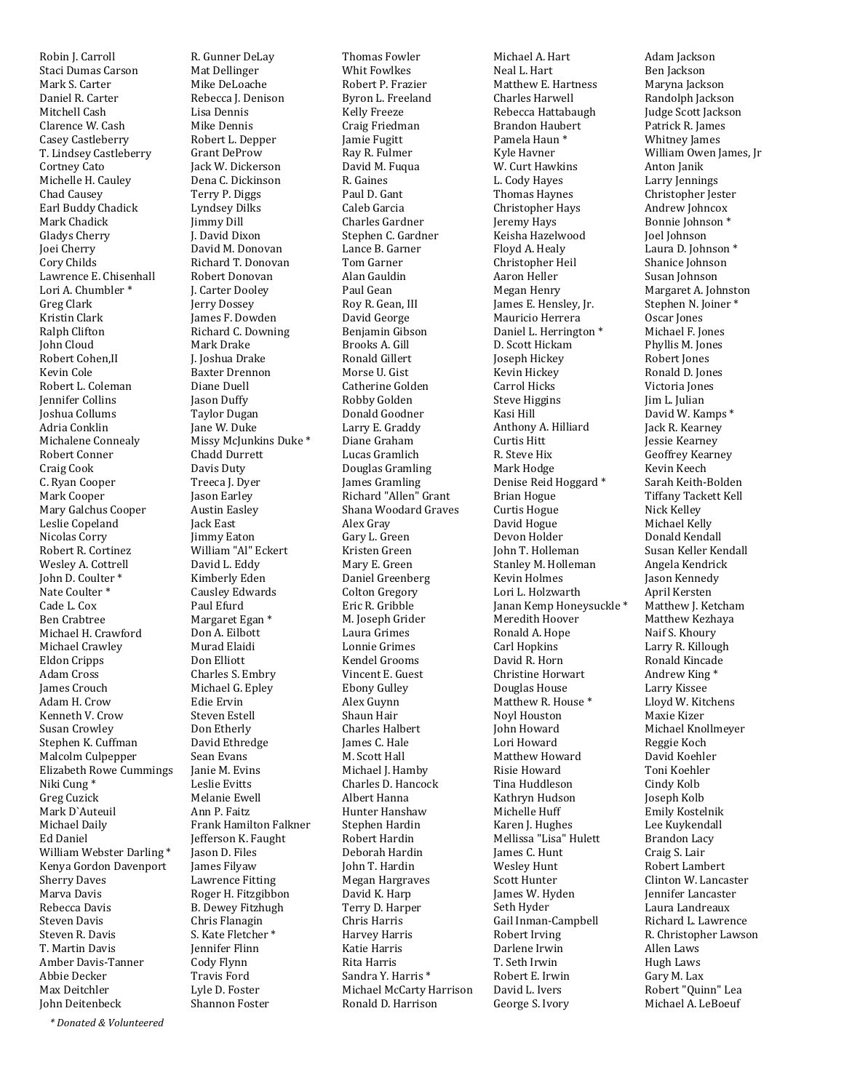Robin I. Carroll Staci Dumas Carson Mark S. Carter Daniel R. Carter Mitchell Cash Clarence W. Cash Casev Castleberry T. Lindsey Castleberry **Cortney Cato** Michelle H. Cauley Chad Causev Earl Buddy Chadick Mark Chadick Gladys Cherry Joei Cherry Corv Childs Lawrence E. Chisenhall Lori A. Chumbler<sup>\*</sup> Greg Clark Kristin Clark Ralph Clifton **John Cloud** Robert Cohen.II Kevin Cole Robert L. Coleman **Iennifer Collins** Ioshua Collums Adria Conklin Michalene Connealy Robert Conner Craig Cook C. Ryan Cooper Mark Cooper Mary Galchus Cooper Leslie Copeland Nicolas Corry Robert R. Cortinez Wesley A. Cottrell John D. Coulter\* Nate Coulter\* Cade L. Cox **Ben Crabtree** Michael H. Crawford Michael Crawley **Eldon Cripps** Adam Cross **James Crouch** Adam H. Crow Kenneth V. Crow **Susan Crowley** Stephen K. Cuffman Malcolm Culpepper **Elizabeth Rowe Cummings** Niki Cung<sup>\*</sup> Greg Cuzick Mark D'Auteuil Michael Daily Ed Daniel William Webster Darling\* Kenya Gordon Davenport **Sherry Daves** Marva Davis Rebecca Davis **Steven Davis** Steven R. Davis T. Martin Davis Amber Davis-Tanner Abbie Decker Max Deitchler **John Deitenbeck** 

R. Gunner DeLay Mat Dellinger Mike DeLoache Rebecca J. Denison Lisa Dennis Mike Dennis Robert L. Depper Grant DeProw Jack W. Dickerson Dena C. Dickinson Terry P. Diggs Lyndsey Dilks **Jimmy Dill** J. David Dixon .<br>David M. Donovan Richard T. Donovan Robert Donovan J. Carter Dooley Jerry Dossey James F. Dowden Richard C. Downing Mark Drake J. Joshua Drake **Baxter Drennon** Diane Duell **Iason Duffy Taylor Dugan** Jane W. Duke Missy McJunkins Duke<sup>\*</sup> Chadd Durrett Davis Duty Treeca J. Dyer Jason Earley **Austin Easley** Jack East Jimmy Eaton William "Al" Eckert David L. Eddy Kimberly Eden **Causley Edwards** Paul Efurd Margaret Egan<sup>\*</sup> Don A. Eilbott Murad Elaidi Don Elliott Charles S. Embry Michael G. Epley Edie Ervin **Steven Estell** Don Etherly David Ethredge Sean Evans Ianie M. Evins Leslie Evitts Melanie Ewell Ann P. Faitz Frank Hamilton Falkner Jefferson K. Faught **Iason D. Files** James Filyaw Lawrence Fitting Roger H. Fitzgibbon **B.** Dewey Fitzhugh Chris Flanagin S. Kate Fletcher\* Jennifer Flinn Cody Flynn Travis Ford Lyle D. Foster

**Shannon Foster** 

**Thomas Fowler Whit Fowlkes** Robert P. Frazier Byron L. Freeland **Kelly Freeze** Craig Friedman **Jamie Fugitt** Ray R. Fulmer David M. Fugua R. Gaines Paul D. Gant Caleb Garcia Charles Gardner Stephen C. Gardner Lance B. Garner Tom Garner Alan Gauldin Paul Gean Roy R. Gean, III David George Benjamin Gibson Brooks A. Gill Ronald Gillert Morse U. Gist Catherine Golden Robby Golden Donald Goodner Larry E. Graddy Diane Graham Lucas Gramlich Douglas Gramling James Gramling Richard "Allen" Grant Shana Woodard Graves Alex Gray Gary L. Green Kristen Green Mary E. Green Daniel Greenberg Colton Gregory Eric R. Gribble M. Joseph Grider Laura Grimes Lonnie Grimes Kendel Grooms Vincent E. Guest Ebony Gulley Alex Guynn Shaun Hair **Charles Halbert** James C. Hale M. Scott Hall Michael J. Hamby Charles D. Hancock Albert Hanna Hunter Hanshaw Stephen Hardin Robert Hardin Deborah Hardin John T. Hardin Megan Hargraves David K. Harp Terry D. Harper Chris Harris **Harvey Harris** Katie Harris Rita Harric Sandra Y. Harris<sup>\*</sup> Michael McCarty Harrison Ronald D. Harrison

Michael A. Hart Neal L. Hart Matthew E. Hartness Charles Harwell Rebecca Hattabaugh **Brandon Haubert** Pamela Haun<sup>\*</sup> Kyle Havner W. Curt Hawkins L. Cody Hayes Thomas Havnes Christopher Havs Jeremy Hays Keisha Hazelwood Floyd A. Healy Christopher Heil Aaron Heller Megan Henry James E. Hensley, Jr. Mauricio Herrera Daniel L. Herrington<sup>\*</sup> D. Scott Hickam Joseph Hickey Kevin Hickey Carrol Hicks **Steve Higgins** Kasi Hill Anthony A. Hilliard Curtis Hitt R. Steve Hix Mark Hodge Denise Reid Hoggard\* **Brian Hogue** Curtis Hogue David Hogue Devon Holder Iohn T. Holleman Stanley M. Holleman **Kevin Holmes** Lori L. Holzwarth Janan Kemp Honeysuckle\* Meredith Hoover Ronald A. Hope Carl Hopkins David R. Horn Christine Horwart Douglas House Matthew R. House\* Noyl Houston John Howard .<br>Lori Howard Matthew Howard Risie Howard Tina Huddleson Kathrvn Hudson Michelle Huff Karen J. Hughes Mellissa "Lisa" Hulett James C. Hunt **Wesley Hunt** Scott Hunter James W. Hyden Seth Hyder Gail Inman-Campbell Robert Irving Darlene Irwin T Seth Irwin Robert E. Irwin David L. Ivers George S. Ivory

Adam Jackson Ben Jackson Maryna Jackson Randolph Jackson Judge Scott Jackson Patrick R. James Whitney James William Owen James, Jr Anton Janik Larry Jennings Christopher Jester Andrew Johncox Bonnie Johnson<sup>\*</sup> Joel Johnson Laura D. Johnson<sup>\*</sup> Shanice Johnson Susan Johnson Margaret A. Johnston Stephen N. Joiner\* Oscar Jones Michael F. Jones Phyllis M. Jones Robert Jones Ronald D. Jones Victoria Jones Jim L. Julian David W. Kamps \* Jack R. Kearney Jessie Kearney Geoffrey Kearney Kevin Keech Sarah Keith-Bolden **Tiffany Tackett Kell** Nick Kelley Michael Kelly Donald Kendall Susan Keller Kendall Angela Kendrick Jason Kennedy April Kersten Matthew J. Ketcham Matthew Kezhava Naif S. Khoury Larry R. Killough Ronald Kincade Andrew King\* Larry Kissee Lloyd W. Kitchens Maxie Kizer Michael Knollmeyer Reggie Koch David Koehler Toni Koehler Cindy Kolb Joseph Kolb Emily Kostelnik Lee Kuykendall **Brandon Lacy** Craig S. Lair Robert Lambert Clinton W. Lancaster **Iennifer Lancaster** Laura Landreaux Richard L. Lawrence R. Christopher Lawson Allen Laws Hugh Laws Gary M. Lax Robert "Ouinn" Lea

Michael A. LeBoeuf

*\* Donated & Volunteered*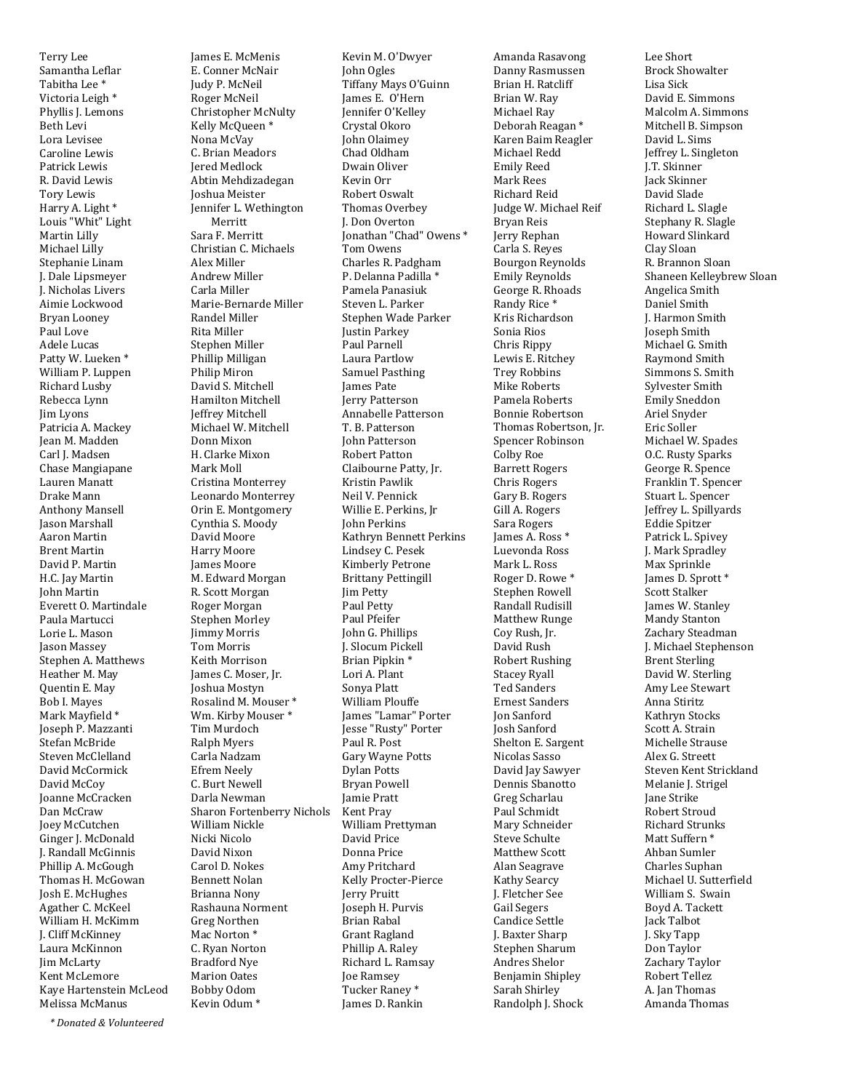Terry Lee Samantha Leflar Tabitha Lee<sup>\*</sup> Victoria Leigh<sup>\*</sup> Phyllis J. Lemons Beth Levi Lora Levisee Caroline Lewis Patrick Lewis R. David Lewis **Tory Lewis** Harry A. Light<sup>\*</sup> Louis "Whit" Light Martin Lilly Michael Lilly Stephanie Linam J. Dale Lipsmeyer J. Nicholas Livers Aimie Lockwood Brvan Loonev Paul Love Adele Lucas Patty W. Lueken\* William P. Luppen Richard Lusby Rebecca Lynn Jim Lyons Patricia A. Mackey Iean M. Madden Carl J. Madsen Chase Mangiapane Lauren Manatt Drake Mann **Anthony Mansell** Jason Marshall Aaron Martin **Brent Martin** David P. Martin H.C. Jay Martin John Martin Everett O. Martindale Paula Martucci Lorie L. Mason Jason Massey Stephen A. Matthews Heather M. May Quentin E. May Bob I. Mayes Mark Mayfield \* Joseph P. Mazzanti Stefan McBride Steven McClelland David McCormick David McCoy Joanne McCracken Dan McCraw Joey McCutchen Ginger J. McDonald J. Randall McGinnis Phillip A. McGough Thomas H. McGowan Josh E. McHughes Agather C. McKeel William H. McKimm **J. Cliff McKinney** Laura McKinnon **Jim McLarty** Kent McLemore Kave Hartenstein McLeod Melissa McManus

James E. McMenis E. Conner McNair Judy P. McNeil Roger McNeil Christopher McNulty Kelly McQueen<sup>\*</sup> Nona McVav C. Brian Meadors **Jered Medlock** Abtin Mehdizadegan **Ioshua Meister** Jennifer L. Wethington Merritt Sara F. Merritt Christian C. Michaels Alex Miller **Andrew Miller** Carla Miller Marie-Bernarde Miller Randel Miller Rita Miller Stephen Miller Phillip Milligan Philip Miron David S. Mitchell Hamilton Mitchell Jeffrey Mitchell Michael W. Mitchell Donn Mixon H. Clarke Mixon Mark Moll Cristina Monterrey Leonardo Monterrey Orin E. Montgomery Cynthia S. Moody David Moore Harry Moore **Iames Moore** M. Edward Morgan R. Scott Morgan Roger Morgan Stephen Morley **Jimmy Morris** Tom Morris Keith Morrison James C. Moser, Jr. **Joshua Mostyn** Rosalind M. Mouser\* Wm. Kirby Mouser\* Tim Murdoch **Ralph Myers** Carla Nadzam **Efrem Neely** C. Burt Newell Darla Newman **Sharon Fortenberry Nichols** William Nickle Nicki Nicolo David Nixon Carol D. Nokes **Bennett Nolan** Brianna Nony Rashauna Norment Greg Northen Mac Norton\* C. Ryan Norton Bradford Nye Marion Oates Bobby Odom Kevin Odum<sup>\*</sup>

Kevin M. O'Dwyer John Ogles Tiffany Mays O'Guinn James E. O'Hern Jennifer O'Kelley Crystal Okoro **John Olaimev** Chad Oldham Dwain Oliver Kevin Orr Robert Oswalt Thomas Overbey J. Don Overton Jonathan "Chad" Owens \* .<br>Tom Owens Charles R. Padgham P. Delanna Padilla \* Pamela Panasiuk Steven L. Parker Stephen Wade Parker Justin Parkey Paul Parnell Laura Partlow Samuel Pasthing **James Pate Jerry Patterson** Annabelle Patterson T. B. Patterson **John Patterson Robert Patton** Claibourne Patty, Jr. Kristin Pawlik Neil V. Pennick Willie E. Perkins, Jr John Perkins Kathryn Bennett Perkins Lindsey C. Pesek Kimberly Petrone **Brittany Pettingill** Jim Petty Paul Petty Paul Pfeifer John G. Phillips I. Slocum Pickell Brian Pipkin<sup>\*</sup> Lori A. Plant Sonya Platt **William Plouffe** James "Lamar" Porter Jesse "Rusty" Porter Paul R. Post Gary Wayne Potts **Dylan Potts Bryan Powell Iamie Pratt** Kent Pray William Prettyman David Price Donna Price Amy Pritchard Kelly Procter-Pierce Jerry Pruitt Joseph H. Purvis Brian Rabal Grant Ragland Phillip A. Raley Richard L. Ramsay Joe Ramsey Tucker Ranev<sup>\*</sup> James D. Rankin

Amanda Rasavong Danny Rasmussen Brian H. Ratcliff Brian W. Ray Michael Ray Deborah Reagan<sup>\*</sup> Karen Baim Reagler Michael Redd **Emily Reed** Mark Rees Richard Reid Judge W. Michael Reif Bryan Reis Jerry Rephan Carla S. Reyes **Bourgon Revnolds Emily Reynolds** George R. Rhoads Randy Rice<sup>\*</sup> Kris Richardson Sonia Rios Chris Rippy Lewis E. Ritchey **Trey Robbins** Mike Roberts Pamela Roberts **Bonnie Robertson** Thomas Robertson, Jr. Spencer Robinson **Colby Roe Barrett Rogers** Chris Rogers Gary B. Rogers Gill A. Rogers Sara Rogers James A. Ross<sup>\*</sup> Luevonda Ross Mark L. Ross Roger D. Rowe\* Stephen Rowell Randall Rudisill **Matthew Runge** Coy Rush, Jr. David Rush **Robert Rushing Stacey Ryall Ted Sanders Ernest Sanders** Ion Sanford Josh Sanford Shelton E. Sargent Nicolas Sasso David Jay Sawyer Dennis Sbanotto Greg Scharlau Paul Schmidt Mary Schneider Steve Schulte Matthew Scott Alan Seagrave **Kathy Searcy** J. Fletcher See Gail Segers Candice Settle **J.** Baxter Sharp Stephen Sharum Andres Shelor **Benjamin Shipley** Sarah Shirlev Randolph J. Shock

Lee Short **Brock Showalter** Lisa Sick David E. Simmons Malcolm A. Simmons Mitchell B. Simpson David L. Sims Jeffrey L. Singleton J.T. Skinner Jack Skinner David Slade Richard L. Slagle Stephany R. Slagle Howard Slinkard Clay Sloan R. Brannon Sloan Shaneen Kellevbrew Sloan Angelica Smith Daniel Smith **I. Harmon Smith** Joseph Smith Michael G. Smith Raymond Smith Simmons S. Smith Sylvester Smith **Emily Sneddon** Ariel Snyder Eric Soller Michael W. Spades O.C. Rusty Sparks George R. Spence Franklin T. Spencer Stuart L. Spencer Jeffrey L. Spillyards Eddie Spitzer Patrick L. Spivey J. Mark Spradley Max Sprinkle James D. Sprott \* **Scott Stalker** James W. Stanley Mandy Stanton Zachary Steadman J. Michael Stephenson **Brent Sterling** David W. Sterling Amy Lee Stewart Anna Stiritz Kathryn Stocks Scott A. Strain Michelle Strause Alex G. Streett Steven Kent Strickland Melanie J. Strigel **Jane Strike Robert Stroud Richard Strunks** Matt Suffern<sup>\*</sup> Ahhan Sumler Charles Suphan Michael U. Sutterfield William S. Swain Boyd A. Tackett **Jack Talbot J. Sky Tapp** Don Taylor Zachary Taylor Robert Tellez A. Ian Thomas

Amanda Thomas

*\* Donated & Volunteered*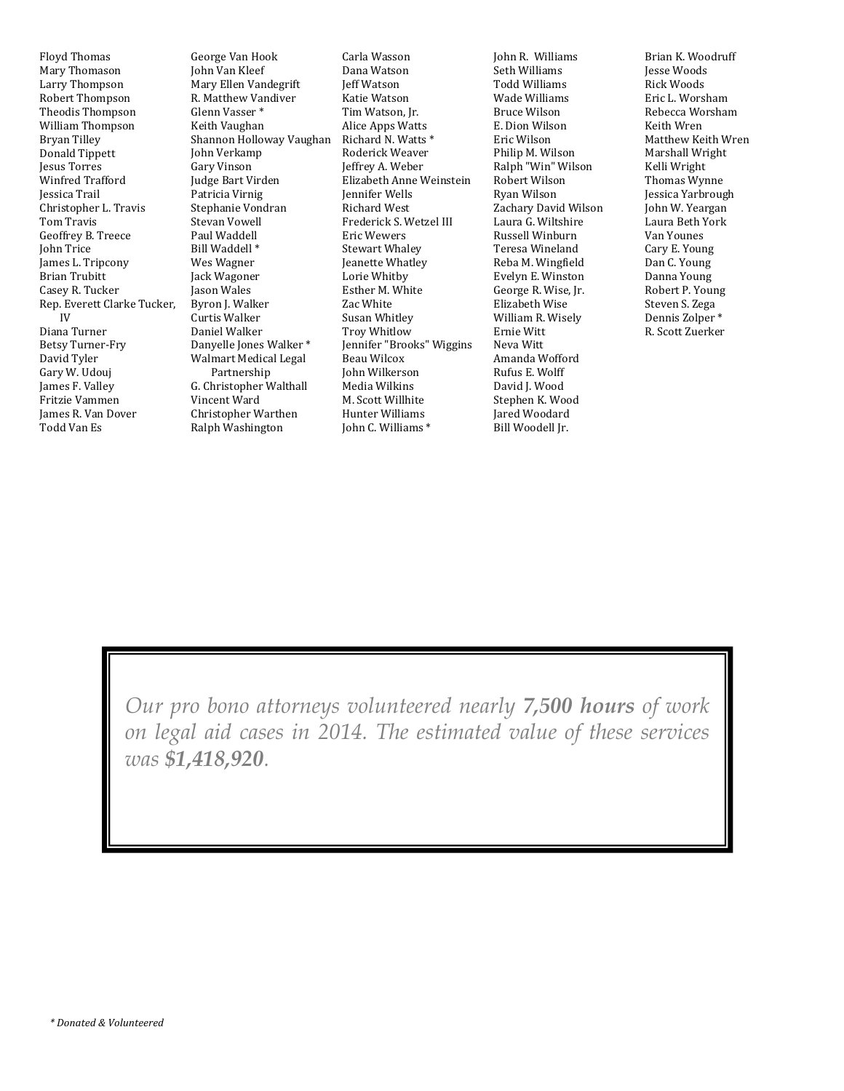**Floyd Thomas** Mary Thomason Larry Thompson Robert Thompson Theodis Thompson William Thompson **Bryan Tilley** Donald Tippett **Jesus Torres Winfred Trafford** Iessica Trail Christopher L. Travis **Tom Travis** Geoffrey B. Treece **John Trice** James L. Tripcony **Brian Trubitt** Casev R. Tucker Rep. Everett Clarke Tucker,  $IV$ Diana Turner Betsy Turner-Fry David Tyler Gary W. Udouj James F. Valley Fritzie Vammen James R. Van Dover Todd Van Es

George Van Hook John Van Kleef Mary Ellen Vandegrift R. Matthew Vandiver Glenn Vasser \* Keith Vaughan Shannon Holloway Vaughan John Verkamp Gary Vinson Judge Bart Virden Patricia Virnig Stephanie Vondran **Stevan Vowell** Paul Waddell Bill Waddell<sup>\*</sup> Wes Wagner Jack Wagoner Jason Wales Byron J. Walker Curtis Walker Daniel Walker Danyelle Jones Walker\* **Walmart Medical Legal** Partnership G. Christopher Walthall Vincent Ward Christopher Warthen Ralph Washington

Carla Wasson Dana Watson **Jeff Watson** Katie Watson Tim Watson, Jr. **Alice Apps Watts** Richard N. Watts \* Roderick Weaver Jeffrey A. Weber Elizabeth Anne Weinstein **Iennifer Wells** Richard West Frederick S. Wetzel III Eric Wewers **Stewart Whaley** Jeanette Whatley Lorie Whitby Esther M. White Zac White Susan Whitley **Troy Whitlow** Jennifer "Brooks" Wiggins Beau Wilcox John Wilkerson .<br>Media Wilkins M. Scott Willhite Hunter Williams John C. Williams \*

John R. Williams Seth Williams **Todd Williams** Wade Williams **Bruce Wilson** E. Dion Wilson Eric Wilson Philip M. Wilson Ralph "Win" Wilson Robert Wilson Ryan Wilson Zachary David Wilson Laura G. Wiltshire Russell Winburn Teresa Wineland Reba M. Wingfield Evelyn E. Winston George R. Wise, Jr. Elizabeth Wise William R. Wisely Ernie Witt Neva Witt Amanda Wofford Rufus E. Wolff David J. Wood Stephen K. Wood Jared Woodard Bill Woodell Jr.

Brian K. Woodruff **Iesse Woods Rick Woods** Eric L. Worsham Rebecca Worsham Keith Wren Matthew Keith Wren Marshall Wright Kelli Wright Thomas Wynne Jessica Yarbrough Iohn W. Yeargan Laura Beth York Van Younes Cary E. Young Dan C. Young Danna Young Robert P. Young Steven S. Zega Dennis Zolper<sup>\*</sup> R. Scott Zuerker

*Our pro bono attorneys volunteered nearly 7,500 hours of work on legal aid cases in 2014. The estimated value of these services was \$1,418,920.*